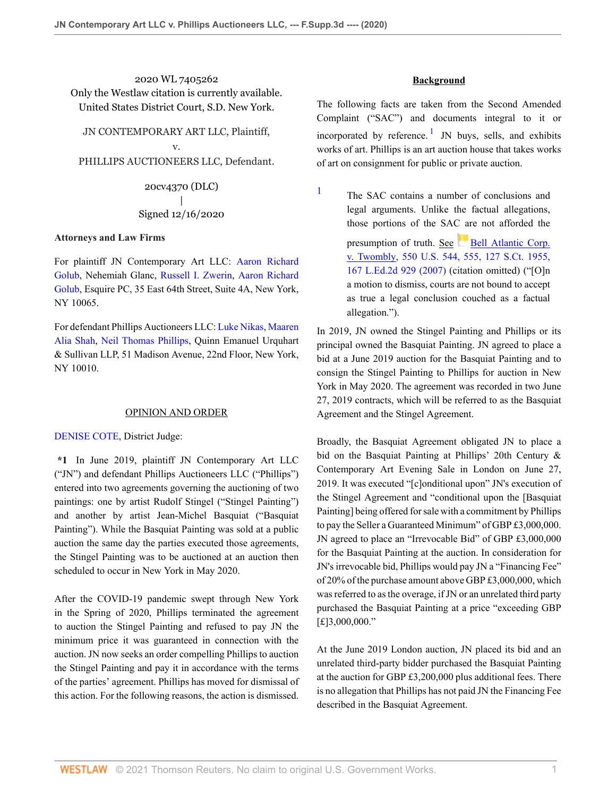2020 WL 7405262 Only the Westlaw citation is currently available. United States District Court, S.D. New York.

JN CONTEMPORARY ART LLC, Plaintiff, v.

PHILLIPS AUCTIONEERS LLC, Defendant.

20cv4370 (DLC) | Signed 12/16/2020

### **Attorneys and Law Firms**

For plaintiff JN Contemporary Art LLC: [Aaron Richard](http://www.westlaw.com/Link/Document/FullText?findType=h&pubNum=176284&cite=0293137301&originatingDoc=I9969e490411311eb960a9329eed1cde2&refType=RQ&originationContext=document&vr=3.0&rs=cblt1.0&transitionType=DocumentItem&contextData=(sc.Default)) [Golub,](http://www.westlaw.com/Link/Document/FullText?findType=h&pubNum=176284&cite=0293137301&originatingDoc=I9969e490411311eb960a9329eed1cde2&refType=RQ&originationContext=document&vr=3.0&rs=cblt1.0&transitionType=DocumentItem&contextData=(sc.Default)) Nehemiah Glanc, [Russell I. Zwerin,](http://www.westlaw.com/Link/Document/FullText?findType=h&pubNum=176284&cite=0427266001&originatingDoc=I9969e490411311eb960a9329eed1cde2&refType=RQ&originationContext=document&vr=3.0&rs=cblt1.0&transitionType=DocumentItem&contextData=(sc.Default)) [Aaron Richard](http://www.westlaw.com/Link/Document/FullText?findType=h&pubNum=176284&cite=0293137301&originatingDoc=I9969e490411311eb960a9329eed1cde2&refType=RQ&originationContext=document&vr=3.0&rs=cblt1.0&transitionType=DocumentItem&contextData=(sc.Default)) [Golub,](http://www.westlaw.com/Link/Document/FullText?findType=h&pubNum=176284&cite=0293137301&originatingDoc=I9969e490411311eb960a9329eed1cde2&refType=RQ&originationContext=document&vr=3.0&rs=cblt1.0&transitionType=DocumentItem&contextData=(sc.Default)) Esquire PC, 35 East 64th Street, Suite 4A, New York, NY 10065.

For defendant Phillips Auctioneers LLC: [Luke Nikas](http://www.westlaw.com/Link/Document/FullText?findType=h&pubNum=176284&cite=0390537101&originatingDoc=I9969e490411311eb960a9329eed1cde2&refType=RQ&originationContext=document&vr=3.0&rs=cblt1.0&transitionType=DocumentItem&contextData=(sc.Default)), [Maaren](http://www.westlaw.com/Link/Document/FullText?findType=h&pubNum=176284&cite=0393236601&originatingDoc=I9969e490411311eb960a9329eed1cde2&refType=RQ&originationContext=document&vr=3.0&rs=cblt1.0&transitionType=DocumentItem&contextData=(sc.Default)) [Alia Shah,](http://www.westlaw.com/Link/Document/FullText?findType=h&pubNum=176284&cite=0393236601&originatingDoc=I9969e490411311eb960a9329eed1cde2&refType=RQ&originationContext=document&vr=3.0&rs=cblt1.0&transitionType=DocumentItem&contextData=(sc.Default)) [Neil Thomas Phillips](http://www.westlaw.com/Link/Document/FullText?findType=h&pubNum=176284&cite=0511115401&originatingDoc=I9969e490411311eb960a9329eed1cde2&refType=RQ&originationContext=document&vr=3.0&rs=cblt1.0&transitionType=DocumentItem&contextData=(sc.Default)), Quinn Emanuel Urquhart & Sullivan LLP, 51 Madison Avenue, 22nd Floor, New York, NY 10010.

### OPINION AND ORDER

[DENISE COTE](http://www.westlaw.com/Link/Document/FullText?findType=h&pubNum=176284&cite=0151667801&originatingDoc=I9969e490411311eb960a9329eed1cde2&refType=RQ&originationContext=document&vr=3.0&rs=cblt1.0&transitionType=DocumentItem&contextData=(sc.Default)), District Judge:

**\*1** In June 2019, plaintiff JN Contemporary Art LLC ("JN") and defendant Phillips Auctioneers LLC ("Phillips") entered into two agreements governing the auctioning of two paintings: one by artist Rudolf Stingel ("Stingel Painting") and another by artist Jean-Michel Basquiat ("Basquiat Painting"). While the Basquiat Painting was sold at a public auction the same day the parties executed those agreements, the Stingel Painting was to be auctioned at an auction then scheduled to occur in New York in May 2020.

After the COVID-19 pandemic swept through New York in the Spring of 2020, Phillips terminated the agreement to auction the Stingel Painting and refused to pay JN the minimum price it was guaranteed in connection with the auction. JN now seeks an order compelling Phillips to auction the Stingel Painting and pay it in accordance with the terms of the parties' agreement. Phillips has moved for dismissal of this action. For the following reasons, the action is dismissed.

# <span id="page-0-1"></span>**Background**

The following facts are taken from the Second Amended Complaint ("SAC") and documents integral to it or incorporated by reference.<sup>[1](#page-0-0)</sup> JN buys, sells, and exhibits works of art. Phillips is an art auction house that takes works of art on consignment for public or private auction.

<span id="page-0-0"></span>[1](#page-0-1)

The SAC contains a number of conclusions and legal arguments. Unlike the factual allegations, those portions of the SA[C ar](https://1.next.westlaw.com/Link/RelatedInformation/Flag?documentGuid=Ib53eb62e07a011dcb035bac3a32ef289&transitionType=InlineKeyCiteFlags&originationContext=docHeaderFlag&Rank=0&contextData=(sc.Default) )e not afforded the

presumption of truth. See [Bell Atlantic Corp.](http://www.westlaw.com/Link/Document/FullText?findType=Y&serNum=2012293296&pubNum=0000780&originatingDoc=I9969e490411311eb960a9329eed1cde2&refType=RP&fi=co_pp_sp_780_555&originationContext=document&vr=3.0&rs=cblt1.0&transitionType=DocumentItem&contextData=(sc.Default)#co_pp_sp_780_555) [v. Twombly, 550 U.S. 544, 555, 127 S.Ct. 1955,](http://www.westlaw.com/Link/Document/FullText?findType=Y&serNum=2012293296&pubNum=0000780&originatingDoc=I9969e490411311eb960a9329eed1cde2&refType=RP&fi=co_pp_sp_780_555&originationContext=document&vr=3.0&rs=cblt1.0&transitionType=DocumentItem&contextData=(sc.Default)#co_pp_sp_780_555) [167 L.Ed.2d 929 \(2007\)](http://www.westlaw.com/Link/Document/FullText?findType=Y&serNum=2012293296&pubNum=0000780&originatingDoc=I9969e490411311eb960a9329eed1cde2&refType=RP&fi=co_pp_sp_780_555&originationContext=document&vr=3.0&rs=cblt1.0&transitionType=DocumentItem&contextData=(sc.Default)#co_pp_sp_780_555) (citation omitted) ("[O]n a motion to dismiss, courts are not bound to accept as true a legal conclusion couched as a factual allegation.").

In 2019, JN owned the Stingel Painting and Phillips or its principal owned the Basquiat Painting. JN agreed to place a bid at a June 2019 auction for the Basquiat Painting and to consign the Stingel Painting to Phillips for auction in New York in May 2020. The agreement was recorded in two June 27, 2019 contracts, which will be referred to as the Basquiat Agreement and the Stingel Agreement.

Broadly, the Basquiat Agreement obligated JN to place a bid on the Basquiat Painting at Phillips' 20th Century & Contemporary Art Evening Sale in London on June 27, 2019. It was executed "[c]onditional upon" JN's execution of the Stingel Agreement and "conditional upon the [Basquiat Painting] being offered for sale with a commitment by Phillips to pay the Seller a Guaranteed Minimum" of GBP £3,000,000. JN agreed to place an "Irrevocable Bid" of GBP £3,000,000 for the Basquiat Painting at the auction. In consideration for JN's irrevocable bid, Phillips would pay JN a "Financing Fee" of 20% of the purchase amount above GBP £3,000,000, which was referred to as the overage, if JN or an unrelated third party purchased the Basquiat Painting at a price "exceeding GBP [£]3,000,000."

At the June 2019 London auction, JN placed its bid and an unrelated third-party bidder purchased the Basquiat Painting at the auction for GBP £3,200,000 plus additional fees. There is no allegation that Phillips has not paid JN the Financing Fee described in the Basquiat Agreement.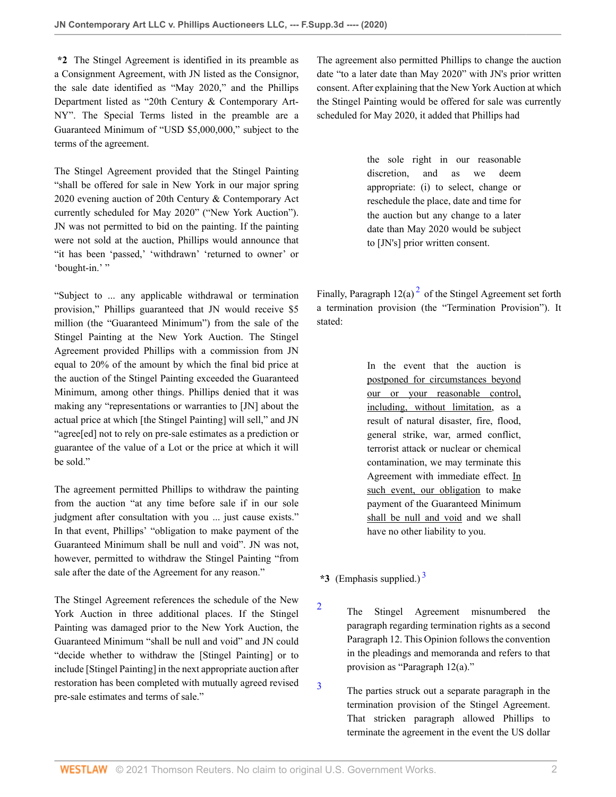**\*2** The Stingel Agreement is identified in its preamble as a Consignment Agreement, with JN listed as the Consignor, the sale date identified as "May 2020," and the Phillips Department listed as "20th Century & Contemporary Art-NY". The Special Terms listed in the preamble are a Guaranteed Minimum of "USD \$5,000,000," subject to the terms of the agreement.

The Stingel Agreement provided that the Stingel Painting "shall be offered for sale in New York in our major spring 2020 evening auction of 20th Century & Contemporary Act currently scheduled for May 2020" ("New York Auction"). JN was not permitted to bid on the painting. If the painting were not sold at the auction, Phillips would announce that "it has been 'passed,' 'withdrawn' 'returned to owner' or 'bought-in.'"

"Subject to ... any applicable withdrawal or termination provision," Phillips guaranteed that JN would receive \$5 million (the "Guaranteed Minimum") from the sale of the Stingel Painting at the New York Auction. The Stingel Agreement provided Phillips with a commission from JN equal to 20% of the amount by which the final bid price at the auction of the Stingel Painting exceeded the Guaranteed Minimum, among other things. Phillips denied that it was making any "representations or warranties to [JN] about the actual price at which [the Stingel Painting] will sell," and JN "agree[ed] not to rely on pre-sale estimates as a prediction or guarantee of the value of a Lot or the price at which it will be sold."

The agreement permitted Phillips to withdraw the painting from the auction "at any time before sale if in our sole judgment after consultation with you ... just cause exists." In that event, Phillips' "obligation to make payment of the Guaranteed Minimum shall be null and void". JN was not, however, permitted to withdraw the Stingel Painting "from sale after the date of the Agreement for any reason."

The Stingel Agreement references the schedule of the New York Auction in three additional places. If the Stingel Painting was damaged prior to the New York Auction, the Guaranteed Minimum "shall be null and void" and JN could "decide whether to withdraw the [Stingel Painting] or to include [Stingel Painting] in the next appropriate auction after restoration has been completed with mutually agreed revised pre-sale estimates and terms of sale."

The agreement also permitted Phillips to change the auction date "to a later date than May 2020" with JN's prior written consent. After explaining that the New York Auction at which the Stingel Painting would be offered for sale was currently scheduled for May 2020, it added that Phillips had

> the sole right in our reasonable discretion, and as we deem appropriate: (i) to select, change or reschedule the place, date and time for the auction but any change to a later date than May 2020 would be subject to [JN's] prior written consent.

Finally, Paragraph  $12(a)^2$  $12(a)^2$  $12(a)^2$  of the Stingel Agreement set forth a termination provision (the "Termination Provision"). It stated:

> <span id="page-1-2"></span>In the event that the auction is postponed for circumstances beyond our or your reasonable control, including, without limitation, as a result of natural disaster, fire, flood, general strike, war, armed conflict, terrorist attack or nuclear or chemical contamination, we may terminate this Agreement with immediate effect. In such event, our obligation to make payment of the Guaranteed Minimum shall be null and void and we shall have no other liability to you.

**\*3** (Emphasis supplied.) [3](#page-1-1)

<span id="page-1-0"></span>[2](#page-1-2)

<span id="page-1-1"></span>[3](#page-1-3)

- <span id="page-1-3"></span>The Stingel Agreement misnumbered the paragraph regarding termination rights as a second Paragraph 12. This Opinion follows the convention in the pleadings and memoranda and refers to that provision as "Paragraph 12(a)."
- The parties struck out a separate paragraph in the termination provision of the Stingel Agreement. That stricken paragraph allowed Phillips to terminate the agreement in the event the US dollar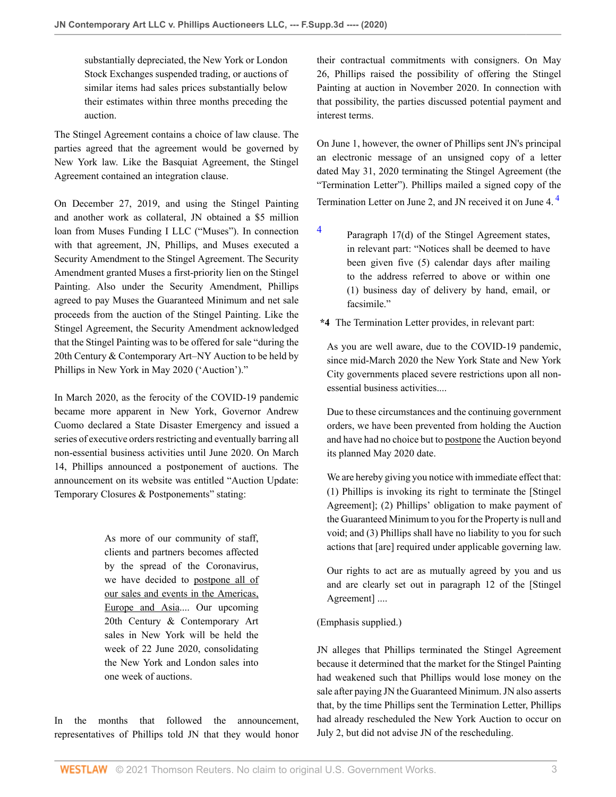substantially depreciated, the New York or London Stock Exchanges suspended trading, or auctions of similar items had sales prices substantially below their estimates within three months preceding the auction.

The Stingel Agreement contains a choice of law clause. The parties agreed that the agreement would be governed by New York law. Like the Basquiat Agreement, the Stingel Agreement contained an integration clause.

On December 27, 2019, and using the Stingel Painting and another work as collateral, JN obtained a \$5 million loan from Muses Funding I LLC ("Muses"). In connection with that agreement, JN, Phillips, and Muses executed a Security Amendment to the Stingel Agreement. The Security Amendment granted Muses a first-priority lien on the Stingel Painting. Also under the Security Amendment, Phillips agreed to pay Muses the Guaranteed Minimum and net sale proceeds from the auction of the Stingel Painting. Like the Stingel Agreement, the Security Amendment acknowledged that the Stingel Painting was to be offered for sale "during the 20th Century & Contemporary Art–NY Auction to be held by Phillips in New York in May 2020 ('Auction')."

In March 2020, as the ferocity of the COVID-19 pandemic became more apparent in New York, Governor Andrew Cuomo declared a State Disaster Emergency and issued a series of executive orders restricting and eventually barring all non-essential business activities until June 2020. On March 14, Phillips announced a postponement of auctions. The announcement on its website was entitled "Auction Update: Temporary Closures & Postponements" stating:

> As more of our community of staff, clients and partners becomes affected by the spread of the Coronavirus, we have decided to postpone all of our sales and events in the Americas, Europe and Asia.... Our upcoming 20th Century & Contemporary Art sales in New York will be held the week of 22 June 2020, consolidating the New York and London sales into one week of auctions.

In the months that followed the announcement, representatives of Phillips told JN that they would honor their contractual commitments with consigners. On May 26, Phillips raised the possibility of offering the Stingel Painting at auction in November 2020. In connection with that possibility, the parties discussed potential payment and interest terms.

On June 1, however, the owner of Phillips sent JN's principal an electronic message of an unsigned copy of a letter dated May 31, 2020 terminating the Stingel Agreement (the "Termination Letter"). Phillips mailed a signed copy of the Termination Letter on June 2, and JN received it on June 4. [4](#page-2-0)

<span id="page-2-1"></span><span id="page-2-0"></span>[4](#page-2-1) Paragraph 17(d) of the Stingel Agreement states, in relevant part: "Notices shall be deemed to have been given five (5) calendar days after mailing to the address referred to above or within one (1) business day of delivery by hand, email, or facsimile."

**\*4** The Termination Letter provides, in relevant part:

As you are well aware, due to the COVID-19 pandemic, since mid-March 2020 the New York State and New York City governments placed severe restrictions upon all nonessential business activities....

Due to these circumstances and the continuing government orders, we have been prevented from holding the Auction and have had no choice but to postpone the Auction beyond its planned May 2020 date.

We are hereby giving you notice with immediate effect that: (1) Phillips is invoking its right to terminate the [Stingel Agreement]; (2) Phillips' obligation to make payment of the Guaranteed Minimum to you for the Property is null and void; and (3) Phillips shall have no liability to you for such actions that [are] required under applicable governing law.

Our rights to act are as mutually agreed by you and us and are clearly set out in paragraph 12 of the [Stingel Agreement] ....

# (Emphasis supplied.)

JN alleges that Phillips terminated the Stingel Agreement because it determined that the market for the Stingel Painting had weakened such that Phillips would lose money on the sale after paying JN the Guaranteed Minimum. JN also asserts that, by the time Phillips sent the Termination Letter, Phillips had already rescheduled the New York Auction to occur on July 2, but did not advise JN of the rescheduling.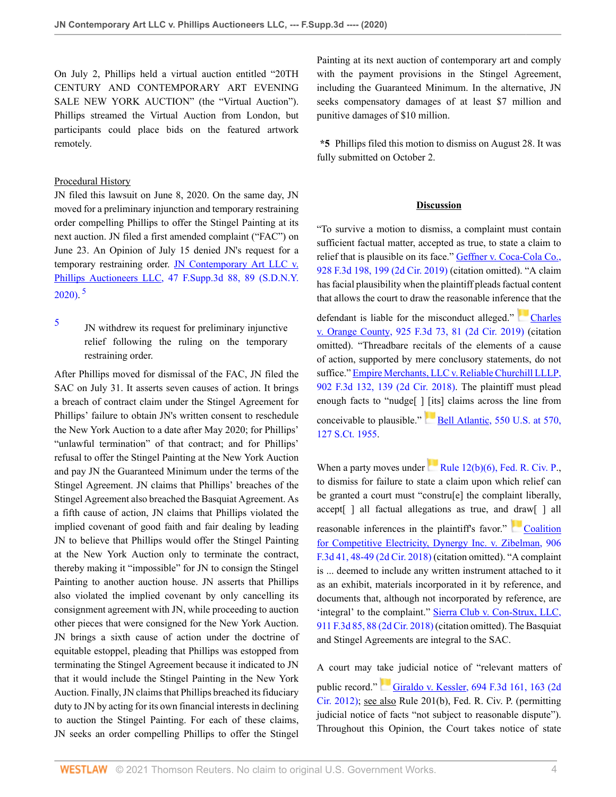On July 2, Phillips held a virtual auction entitled "20TH CENTURY AND CONTEMPORARY ART EVENING SALE NEW YORK AUCTION" (the "Virtual Auction"). Phillips streamed the Virtual Auction from London, but participants could place bids on the featured artwork remotely.

### Procedural History

JN filed this lawsuit on June 8, 2020. On the same day, JN moved for a preliminary injunction and temporary restraining order compelling Phillips to offer the Stingel Painting at its next auction. JN filed a first amended complaint ("FAC") on June 23. An Opinion of July 15 denied JN's request for a temporary restraining order. [JN Contemporary Art LLC v.](http://www.westlaw.com/Link/Document/FullText?findType=Y&serNum=2051475936&pubNum=0007903&originatingDoc=I9969e490411311eb960a9329eed1cde2&refType=RP&fi=co_pp_sp_7903_89&originationContext=document&vr=3.0&rs=cblt1.0&transitionType=DocumentItem&contextData=(sc.Default)#co_pp_sp_7903_89) [Phillips Auctioneers LLC, 47 F.Supp.3d 88, 89 \(S.D.N.Y.](http://www.westlaw.com/Link/Document/FullText?findType=Y&serNum=2051475936&pubNum=0007903&originatingDoc=I9969e490411311eb960a9329eed1cde2&refType=RP&fi=co_pp_sp_7903_89&originationContext=document&vr=3.0&rs=cblt1.0&transitionType=DocumentItem&contextData=(sc.Default)#co_pp_sp_7903_89)  $2020$ ).<sup>[5](#page-3-0)</sup>

<span id="page-3-1"></span><span id="page-3-0"></span>[5](#page-3-1) JN withdrew its request for preliminary injunctive relief following the ruling on the temporary restraining order.

After Phillips moved for dismissal of the FAC, JN filed the SAC on July 31. It asserts seven causes of action. It brings a breach of contract claim under the Stingel Agreement for Phillips' failure to obtain JN's written consent to reschedule the New York Auction to a date after May 2020; for Phillips' "unlawful termination" of that contract; and for Phillips' refusal to offer the Stingel Painting at the New York Auction and pay JN the Guaranteed Minimum under the terms of the Stingel Agreement. JN claims that Phillips' breaches of the Stingel Agreement also breached the Basquiat Agreement. As a fifth cause of action, JN claims that Phillips violated the implied covenant of good faith and fair dealing by leading JN to believe that Phillips would offer the Stingel Painting at the New York Auction only to terminate the contract, thereby making it "impossible" for JN to consign the Stingel Painting to another auction house. JN asserts that Phillips also violated the implied covenant by only cancelling its consignment agreement with JN, while proceeding to auction other pieces that were consigned for the New York Auction. JN brings a sixth cause of action under the doctrine of equitable estoppel, pleading that Phillips was estopped from terminating the Stingel Agreement because it indicated to JN that it would include the Stingel Painting in the New York Auction. Finally, JN claims that Phillips breached its fiduciary duty to JN by acting for its own financial interests in declining to auction the Stingel Painting. For each of these claims, JN seeks an order compelling Phillips to offer the Stingel

Painting at its next auction of contemporary art and comply with the payment provisions in the Stingel Agreement, including the Guaranteed Minimum. In the alternative, JN seeks compensatory damages of at least \$7 million and punitive damages of \$10 million.

**\*5** Phillips filed this motion to dismiss on August 28. It was fully submitted on October 2.

# **Discussion**

"To survive a motion to dismiss, a complaint must contain sufficient factual matter, accepted as true, to state a claim to relief that is plausible on its face." [Geffner v. Coca-Cola Co.,](http://www.westlaw.com/Link/Document/FullText?findType=Y&serNum=2048580900&pubNum=0000506&originatingDoc=I9969e490411311eb960a9329eed1cde2&refType=RP&fi=co_pp_sp_506_199&originationContext=document&vr=3.0&rs=cblt1.0&transitionType=DocumentItem&contextData=(sc.Default)#co_pp_sp_506_199) [928 F.3d 198, 199 \(2d Cir. 2019\)](http://www.westlaw.com/Link/Document/FullText?findType=Y&serNum=2048580900&pubNum=0000506&originatingDoc=I9969e490411311eb960a9329eed1cde2&refType=RP&fi=co_pp_sp_506_199&originationContext=document&vr=3.0&rs=cblt1.0&transitionType=DocumentItem&contextData=(sc.Default)#co_pp_sp_506_199) (citation omitted). "A claim has facial plausibility when the plaintiff pleads factual content that allows the court to draw the reasonable inference that the

defendant is liable for the misconduct alleged." [Charles](http://www.westlaw.com/Link/Document/FullText?findType=Y&serNum=2048346558&pubNum=0000506&originatingDoc=I9969e490411311eb960a9329eed1cde2&refType=RP&fi=co_pp_sp_506_81&originationContext=document&vr=3.0&rs=cblt1.0&transitionType=DocumentItem&contextData=(sc.Default)#co_pp_sp_506_81) [v. Orange County, 925 F.3d 73, 81 \(2d Cir. 2019\)](http://www.westlaw.com/Link/Document/FullText?findType=Y&serNum=2048346558&pubNum=0000506&originatingDoc=I9969e490411311eb960a9329eed1cde2&refType=RP&fi=co_pp_sp_506_81&originationContext=document&vr=3.0&rs=cblt1.0&transitionType=DocumentItem&contextData=(sc.Default)#co_pp_sp_506_81) (citation omitted). "Threadbare recitals of the elements of a cause of action, supported by mere conclusory statements, do not suffice." [Empire Merchants, LLC v. Reliable Churchill LLLP,](http://www.westlaw.com/Link/Document/FullText?findType=Y&serNum=2045374167&pubNum=0000506&originatingDoc=I9969e490411311eb960a9329eed1cde2&refType=RP&fi=co_pp_sp_506_139&originationContext=document&vr=3.0&rs=cblt1.0&transitionType=DocumentItem&contextData=(sc.Default)#co_pp_sp_506_139) [902 F.3d 132, 139 \(2d Cir. 2018\).](http://www.westlaw.com/Link/Document/FullText?findType=Y&serNum=2045374167&pubNum=0000506&originatingDoc=I9969e490411311eb960a9329eed1cde2&refType=RP&fi=co_pp_sp_506_139&originationContext=document&vr=3.0&rs=cblt1.0&transitionType=DocumentItem&contextData=(sc.Default)#co_pp_sp_506_139) The plaintiff must plead enough facts to "nudge[ ] [its] claims across the line from conceivable to plausible."  $Bell$  Atlantic, 550 U.S. at 570, [127 S.Ct. 1955.](http://www.westlaw.com/Link/Document/FullText?findType=Y&serNum=2012293296&pubNum=0000780&originatingDoc=I9969e490411311eb960a9329eed1cde2&refType=RP&fi=co_pp_sp_780_570&originationContext=document&vr=3.0&rs=cblt1.0&transitionType=DocumentItem&contextData=(sc.Default)#co_pp_sp_780_570)

When a party moves under Rule  $12(b)(6)$ , Fed. R. Civ. P., to dismiss for failure to state a claim upon which relief can be granted a court must "constru[e] the complaint liberally, accept[ ] all factual allegations as true, and draw[ ] all reasonable inferences in the plaintiff's favor." [Coalition](http://www.westlaw.com/Link/Document/FullText?findType=Y&serNum=2045596290&pubNum=0000506&originatingDoc=I9969e490411311eb960a9329eed1cde2&refType=RP&fi=co_pp_sp_506_48&originationContext=document&vr=3.0&rs=cblt1.0&transitionType=DocumentItem&contextData=(sc.Default)#co_pp_sp_506_48) [for Competitive Electricity, Dynergy Inc. v. Zibelman, 906](http://www.westlaw.com/Link/Document/FullText?findType=Y&serNum=2045596290&pubNum=0000506&originatingDoc=I9969e490411311eb960a9329eed1cde2&refType=RP&fi=co_pp_sp_506_48&originationContext=document&vr=3.0&rs=cblt1.0&transitionType=DocumentItem&contextData=(sc.Default)#co_pp_sp_506_48) [F.3d 41, 48-49 \(2d Cir. 2018\)](http://www.westlaw.com/Link/Document/FullText?findType=Y&serNum=2045596290&pubNum=0000506&originatingDoc=I9969e490411311eb960a9329eed1cde2&refType=RP&fi=co_pp_sp_506_48&originationContext=document&vr=3.0&rs=cblt1.0&transitionType=DocumentItem&contextData=(sc.Default)#co_pp_sp_506_48) (citation omitted). "A complaint is ... deemed to include any written instrument attached to it as an exhibit, materials incorporated in it by reference, and documents that, although not incorporated by reference, are 'integral' to the complaint." [Sierra Club v. Con-Strux, LLC,](http://www.westlaw.com/Link/Document/FullText?findType=Y&serNum=2047124631&pubNum=0000506&originatingDoc=I9969e490411311eb960a9329eed1cde2&refType=RP&fi=co_pp_sp_506_88&originationContext=document&vr=3.0&rs=cblt1.0&transitionType=DocumentItem&contextData=(sc.Default)#co_pp_sp_506_88) [911 F.3d 85, 88 \(2d Cir. 2018\)](http://www.westlaw.com/Link/Document/FullText?findType=Y&serNum=2047124631&pubNum=0000506&originatingDoc=I9969e490411311eb960a9329eed1cde2&refType=RP&fi=co_pp_sp_506_88&originationContext=document&vr=3.0&rs=cblt1.0&transitionType=DocumentItem&contextData=(sc.Default)#co_pp_sp_506_88) (citation omitted). The Basquiat and Stingel Agreements are integral to the SAC.

A court may take judicial notice of "relevant matters of public record." [Giraldo v. Kessler, 694 F.3d 161, 163 \(2d](http://www.westlaw.com/Link/Document/FullText?findType=Y&serNum=2028618937&pubNum=0000506&originatingDoc=I9969e490411311eb960a9329eed1cde2&refType=RP&fi=co_pp_sp_506_163&originationContext=document&vr=3.0&rs=cblt1.0&transitionType=DocumentItem&contextData=(sc.Default)#co_pp_sp_506_163)) [Cir. 2012\)](http://www.westlaw.com/Link/Document/FullText?findType=Y&serNum=2028618937&pubNum=0000506&originatingDoc=I9969e490411311eb960a9329eed1cde2&refType=RP&fi=co_pp_sp_506_163&originationContext=document&vr=3.0&rs=cblt1.0&transitionType=DocumentItem&contextData=(sc.Default)#co_pp_sp_506_163); see also Rule 201(b), Fed. R. Civ. P. (permitting judicial notice of facts "not subject to reasonable dispute"). Throughout this Opinion, the Court takes notice of state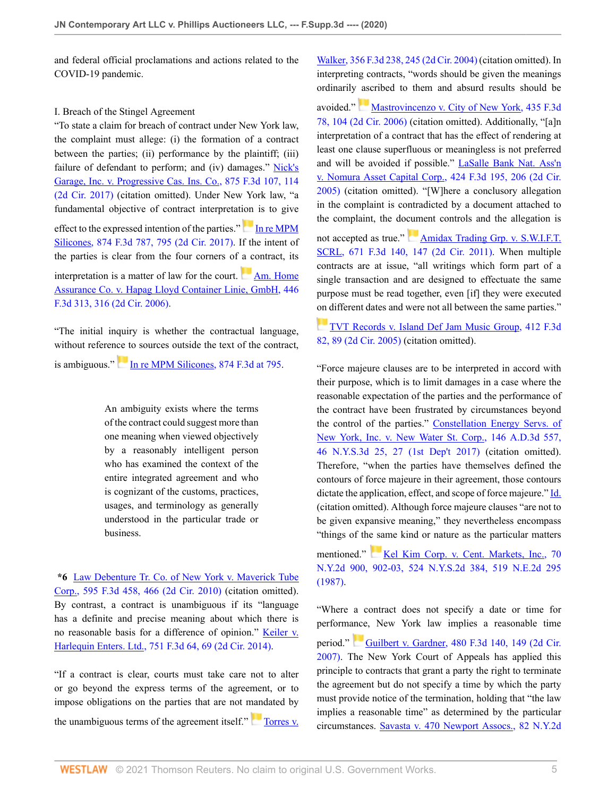and federal official proclamations and actions related to the COVID-19 pandemic.

### I. Breach of the Stingel Agreement

"To state a claim for breach of contract under New York law, the complaint must allege: (i) the formation of a contract between the parties; (ii) performance by the plaintiff; (iii) failure of defendant to perform; and (iv) damages." [Nick's](http://www.westlaw.com/Link/Document/FullText?findType=Y&serNum=2043127145&pubNum=0000506&originatingDoc=I9969e490411311eb960a9329eed1cde2&refType=RP&fi=co_pp_sp_506_114&originationContext=document&vr=3.0&rs=cblt1.0&transitionType=DocumentItem&contextData=(sc.Default)#co_pp_sp_506_114) [Garage, Inc. v. Progressive Cas. Ins. Co., 875 F.3d 107, 114](http://www.westlaw.com/Link/Document/FullText?findType=Y&serNum=2043127145&pubNum=0000506&originatingDoc=I9969e490411311eb960a9329eed1cde2&refType=RP&fi=co_pp_sp_506_114&originationContext=document&vr=3.0&rs=cblt1.0&transitionType=DocumentItem&contextData=(sc.Default)#co_pp_sp_506_114) [\(2d Cir. 2017\)](http://www.westlaw.com/Link/Document/FullText?findType=Y&serNum=2043127145&pubNum=0000506&originatingDoc=I9969e490411311eb960a9329eed1cde2&refType=RP&fi=co_pp_sp_506_114&originationContext=document&vr=3.0&rs=cblt1.0&transitionType=DocumentItem&contextData=(sc.Default)#co_pp_sp_506_114) (citation omitted). Under New York law, "a fundamental objective of contract interpretation is to give effect to the expressed intention of the parties."[In re MPM](http://www.westlaw.com/Link/Document/FullText?findType=Y&serNum=2042942868&pubNum=0000506&originatingDoc=I9969e490411311eb960a9329eed1cde2&refType=RP&fi=co_pp_sp_506_795&originationContext=document&vr=3.0&rs=cblt1.0&transitionType=DocumentItem&contextData=(sc.Default)#co_pp_sp_506_795) [Silicones, 874 F.3d 787, 795 \(2d Cir. 2017\).](http://www.westlaw.com/Link/Document/FullText?findType=Y&serNum=2042942868&pubNum=0000506&originatingDoc=I9969e490411311eb960a9329eed1cde2&refType=RP&fi=co_pp_sp_506_795&originationContext=document&vr=3.0&rs=cblt1.0&transitionType=DocumentItem&contextData=(sc.Default)#co_pp_sp_506_795) If the intent of the parties is clear from the four corners of a contract, its interpretation is a matter of law for the court. [Am. Home](http://www.westlaw.com/Link/Document/FullText?findType=Y&serNum=2009084132&pubNum=0000506&originatingDoc=I9969e490411311eb960a9329eed1cde2&refType=RP&fi=co_pp_sp_506_316&originationContext=document&vr=3.0&rs=cblt1.0&transitionType=DocumentItem&contextData=(sc.Default)#co_pp_sp_506_316) [Assurance Co. v. Hapag Lloyd Container Linie, GmbH, 446](http://www.westlaw.com/Link/Document/FullText?findType=Y&serNum=2009084132&pubNum=0000506&originatingDoc=I9969e490411311eb960a9329eed1cde2&refType=RP&fi=co_pp_sp_506_316&originationContext=document&vr=3.0&rs=cblt1.0&transitionType=DocumentItem&contextData=(sc.Default)#co_pp_sp_506_316) [F.3d 313, 316 \(2d Cir. 2006\).](http://www.westlaw.com/Link/Document/FullText?findType=Y&serNum=2009084132&pubNum=0000506&originatingDoc=I9969e490411311eb960a9329eed1cde2&refType=RP&fi=co_pp_sp_506_316&originationContext=document&vr=3.0&rs=cblt1.0&transitionType=DocumentItem&contextData=(sc.Default)#co_pp_sp_506_316)

"The initial inquiry is whether the contractual language, without reference to sources outside the text of the contract, is ambiguous."[In re MPM Silicones, 874 F.3d at 795.](http://www.westlaw.com/Link/Document/FullText?findType=Y&serNum=2042942868&pubNum=0000506&originatingDoc=I9969e490411311eb960a9329eed1cde2&refType=RP&fi=co_pp_sp_506_795&originationContext=document&vr=3.0&rs=cblt1.0&transitionType=DocumentItem&contextData=(sc.Default)#co_pp_sp_506_795)

> An ambiguity exists where the terms of the contract could suggest more than one meaning when viewed objectively by a reasonably intelligent person who has examined the context of the entire integrated agreement and who is cognizant of the customs, practices, usages, and terminology as generally understood in the particular trade or business.

**\*6** [Law Debenture Tr. Co. of New York v. Maverick Tube](http://www.westlaw.com/Link/Document/FullText?findType=Y&serNum=2021396666&pubNum=0000506&originatingDoc=I9969e490411311eb960a9329eed1cde2&refType=RP&fi=co_pp_sp_506_466&originationContext=document&vr=3.0&rs=cblt1.0&transitionType=DocumentItem&contextData=(sc.Default)#co_pp_sp_506_466) [Corp., 595 F.3d 458, 466 \(2d Cir. 2010\)](http://www.westlaw.com/Link/Document/FullText?findType=Y&serNum=2021396666&pubNum=0000506&originatingDoc=I9969e490411311eb960a9329eed1cde2&refType=RP&fi=co_pp_sp_506_466&originationContext=document&vr=3.0&rs=cblt1.0&transitionType=DocumentItem&contextData=(sc.Default)#co_pp_sp_506_466) (citation omitted). By contrast, a contract is unambiguous if its "language has a definite and precise meaning about which there is no reasonable basis for a difference of opinion." [Keiler v.](http://www.westlaw.com/Link/Document/FullText?findType=Y&serNum=2033298172&pubNum=0000506&originatingDoc=I9969e490411311eb960a9329eed1cde2&refType=RP&fi=co_pp_sp_506_69&originationContext=document&vr=3.0&rs=cblt1.0&transitionType=DocumentItem&contextData=(sc.Default)#co_pp_sp_506_69) [Harlequin Enters. Ltd., 751 F.3d 64, 69 \(2d Cir. 2014\)](http://www.westlaw.com/Link/Document/FullText?findType=Y&serNum=2033298172&pubNum=0000506&originatingDoc=I9969e490411311eb960a9329eed1cde2&refType=RP&fi=co_pp_sp_506_69&originationContext=document&vr=3.0&rs=cblt1.0&transitionType=DocumentItem&contextData=(sc.Default)#co_pp_sp_506_69).

"If a contract is clear, courts must take care not to alter or go beyond the express terms of the agreement, or to impose obligations on the parties that are not mandated by the unambiguous terms of the agreement itself."[Torres v.](http://www.westlaw.com/Link/Document/FullText?findType=Y&serNum=2004080874&pubNum=0000506&originatingDoc=I9969e490411311eb960a9329eed1cde2&refType=RP&fi=co_pp_sp_506_245&originationContext=document&vr=3.0&rs=cblt1.0&transitionType=DocumentItem&contextData=(sc.Default)#co_pp_sp_506_245) [Walker, 356 F.3d 238, 245 \(2d Cir. 2004\)](http://www.westlaw.com/Link/Document/FullText?findType=Y&serNum=2004080874&pubNum=0000506&originatingDoc=I9969e490411311eb960a9329eed1cde2&refType=RP&fi=co_pp_sp_506_245&originationContext=document&vr=3.0&rs=cblt1.0&transitionType=DocumentItem&contextData=(sc.Default)#co_pp_sp_506_245) (citation omitted). In interpreting contracts, "words should be given the meanings ordinarily ascribed to them and absurd results should be

avoided."[Mastrovincenzo v. City of New York, 435 F.3d](http://www.westlaw.com/Link/Document/FullText?findType=Y&serNum=2008075929&pubNum=0000506&originatingDoc=I9969e490411311eb960a9329eed1cde2&refType=RP&fi=co_pp_sp_506_104&originationContext=document&vr=3.0&rs=cblt1.0&transitionType=DocumentItem&contextData=(sc.Default)#co_pp_sp_506_104) [78, 104 \(2d Cir. 2006\)](http://www.westlaw.com/Link/Document/FullText?findType=Y&serNum=2008075929&pubNum=0000506&originatingDoc=I9969e490411311eb960a9329eed1cde2&refType=RP&fi=co_pp_sp_506_104&originationContext=document&vr=3.0&rs=cblt1.0&transitionType=DocumentItem&contextData=(sc.Default)#co_pp_sp_506_104) (citation omitted). Additionally, "[a]n interpretation of a contract that has the effect of rendering at least one clause superfluous or meaningless is not preferred and will be avoided if possible." [LaSalle Bank Nat. Ass'n](http://www.westlaw.com/Link/Document/FullText?findType=Y&serNum=2007290966&pubNum=0000506&originatingDoc=I9969e490411311eb960a9329eed1cde2&refType=RP&fi=co_pp_sp_506_206&originationContext=document&vr=3.0&rs=cblt1.0&transitionType=DocumentItem&contextData=(sc.Default)#co_pp_sp_506_206) [v. Nomura Asset Capital Corp., 424 F.3d 195, 206 \(2d Cir.](http://www.westlaw.com/Link/Document/FullText?findType=Y&serNum=2007290966&pubNum=0000506&originatingDoc=I9969e490411311eb960a9329eed1cde2&refType=RP&fi=co_pp_sp_506_206&originationContext=document&vr=3.0&rs=cblt1.0&transitionType=DocumentItem&contextData=(sc.Default)#co_pp_sp_506_206) [2005\)](http://www.westlaw.com/Link/Document/FullText?findType=Y&serNum=2007290966&pubNum=0000506&originatingDoc=I9969e490411311eb960a9329eed1cde2&refType=RP&fi=co_pp_sp_506_206&originationContext=document&vr=3.0&rs=cblt1.0&transitionType=DocumentItem&contextData=(sc.Default)#co_pp_sp_506_206) (citation omitted). "[W]here a conclusory allegation in the complaint is contradicted by a document attached to the complaint, the document controls and the allegation is not accepted as true." [Amidax Trading Grp. v. S.W.I.F.T.](http://www.westlaw.com/Link/Document/FullText?findType=Y&serNum=2026703494&pubNum=0000506&originatingDoc=I9969e490411311eb960a9329eed1cde2&refType=RP&fi=co_pp_sp_506_147&originationContext=document&vr=3.0&rs=cblt1.0&transitionType=DocumentItem&contextData=(sc.Default)#co_pp_sp_506_147) [SCRL, 671 F.3d 140, 147 \(2d Cir. 2011\)](http://www.westlaw.com/Link/Document/FullText?findType=Y&serNum=2026703494&pubNum=0000506&originatingDoc=I9969e490411311eb960a9329eed1cde2&refType=RP&fi=co_pp_sp_506_147&originationContext=document&vr=3.0&rs=cblt1.0&transitionType=DocumentItem&contextData=(sc.Default)#co_pp_sp_506_147). When multiple contracts are at issue, "all writings which form part of a single transaction and are designed to effectuate the same purpose must be read together, even [if] they were executed [on d](https://1.next.westlaw.com/Link/RelatedInformation/Flag?documentGuid=I24871685dd2d11d983e7e9deff98dc6f&transitionType=InlineKeyCiteFlags&originationContext=docHeaderFlag&Rank=0&contextData=(sc.Default) )ifferent dates and were not all between the same parties."

[TVT Records v. Island Def Jam Music Group, 412 F.3d](http://www.westlaw.com/Link/Document/FullText?findType=Y&serNum=2006799498&pubNum=0000506&originatingDoc=I9969e490411311eb960a9329eed1cde2&refType=RP&fi=co_pp_sp_506_89&originationContext=document&vr=3.0&rs=cblt1.0&transitionType=DocumentItem&contextData=(sc.Default)#co_pp_sp_506_89) [82, 89 \(2d Cir. 2005\)](http://www.westlaw.com/Link/Document/FullText?findType=Y&serNum=2006799498&pubNum=0000506&originatingDoc=I9969e490411311eb960a9329eed1cde2&refType=RP&fi=co_pp_sp_506_89&originationContext=document&vr=3.0&rs=cblt1.0&transitionType=DocumentItem&contextData=(sc.Default)#co_pp_sp_506_89) (citation omitted).

"Force majeure clauses are to be interpreted in accord with their purpose, which is to limit damages in a case where the reasonable expectation of the parties and the performance of the contract have been frustrated by circumstances beyond the control of the parties." [Constellation Energy Servs. of](http://www.westlaw.com/Link/Document/FullText?findType=Y&serNum=2040771500&pubNum=0007980&originatingDoc=I9969e490411311eb960a9329eed1cde2&refType=RP&fi=co_pp_sp_7980_27&originationContext=document&vr=3.0&rs=cblt1.0&transitionType=DocumentItem&contextData=(sc.Default)#co_pp_sp_7980_27) [New York, Inc. v. New Water St. Corp., 146 A.D.3d 557,](http://www.westlaw.com/Link/Document/FullText?findType=Y&serNum=2040771500&pubNum=0007980&originatingDoc=I9969e490411311eb960a9329eed1cde2&refType=RP&fi=co_pp_sp_7980_27&originationContext=document&vr=3.0&rs=cblt1.0&transitionType=DocumentItem&contextData=(sc.Default)#co_pp_sp_7980_27) [46 N.Y.S.3d 25, 27 \(1st Dep't 2017\)](http://www.westlaw.com/Link/Document/FullText?findType=Y&serNum=2040771500&pubNum=0007980&originatingDoc=I9969e490411311eb960a9329eed1cde2&refType=RP&fi=co_pp_sp_7980_27&originationContext=document&vr=3.0&rs=cblt1.0&transitionType=DocumentItem&contextData=(sc.Default)#co_pp_sp_7980_27) (citation omitted). Therefore, "when the parties have themselves defined the contours of force majeure in their agreement, those contours dictate the application, effect, and scope of force majeure." [Id.](http://www.westlaw.com/Link/Document/FullText?findType=Y&serNum=2040771500&pubNum=0007049&originatingDoc=I9969e490411311eb960a9329eed1cde2&refType=RP&originationContext=document&vr=3.0&rs=cblt1.0&transitionType=DocumentItem&contextData=(sc.Default)) (citation omitted). Although force majeure clauses "are not to be given expansive meaning," they nevertheless encompass "things of the same kind or nature as the particular matters

mentioned." [Kel Kim Corp. v. Cent. Markets, Inc., 70](http://www.westlaw.com/Link/Document/FullText?findType=Y&serNum=1988004018&pubNum=0000605&originatingDoc=I9969e490411311eb960a9329eed1cde2&refType=RP&fi=co_pp_sp_605_902&originationContext=document&vr=3.0&rs=cblt1.0&transitionType=DocumentItem&contextData=(sc.Default)#co_pp_sp_605_902) [N.Y.2d 900, 902-03, 524 N.Y.S.2d 384, 519 N.E.2d 295](http://www.westlaw.com/Link/Document/FullText?findType=Y&serNum=1988004018&pubNum=0000605&originatingDoc=I9969e490411311eb960a9329eed1cde2&refType=RP&fi=co_pp_sp_605_902&originationContext=document&vr=3.0&rs=cblt1.0&transitionType=DocumentItem&contextData=(sc.Default)#co_pp_sp_605_902) [\(1987\).](http://www.westlaw.com/Link/Document/FullText?findType=Y&serNum=1988004018&pubNum=0000605&originatingDoc=I9969e490411311eb960a9329eed1cde2&refType=RP&fi=co_pp_sp_605_902&originationContext=document&vr=3.0&rs=cblt1.0&transitionType=DocumentItem&contextData=(sc.Default)#co_pp_sp_605_902)

"Where a contract does not specify a date or time for performance, New York law implies a reasonable time period." [Guilbert v. Gardner, 480 F.3d 140, 149 \(2d Cir.](http://www.westlaw.com/Link/Document/FullText?findType=Y&serNum=2011618226&pubNum=0000506&originatingDoc=I9969e490411311eb960a9329eed1cde2&refType=RP&fi=co_pp_sp_506_149&originationContext=document&vr=3.0&rs=cblt1.0&transitionType=DocumentItem&contextData=(sc.Default)#co_pp_sp_506_149) [2007\)](http://www.westlaw.com/Link/Document/FullText?findType=Y&serNum=2011618226&pubNum=0000506&originatingDoc=I9969e490411311eb960a9329eed1cde2&refType=RP&fi=co_pp_sp_506_149&originationContext=document&vr=3.0&rs=cblt1.0&transitionType=DocumentItem&contextData=(sc.Default)#co_pp_sp_506_149). The New York Court of Appeals has applied this principle to contracts that grant a party the right to terminate the agreement but do not specify a time by which the party must provide notice of the termination, holding that "the law implies a reasonable time" as determined by the particular circumstances. [Savasta v. 470 Newport Assocs., 82 N.Y.2d](http://www.westlaw.com/Link/Document/FullText?findType=Y&serNum=1993193291&pubNum=0000605&originatingDoc=I9969e490411311eb960a9329eed1cde2&refType=RP&fi=co_pp_sp_605_765&originationContext=document&vr=3.0&rs=cblt1.0&transitionType=DocumentItem&contextData=(sc.Default)#co_pp_sp_605_765)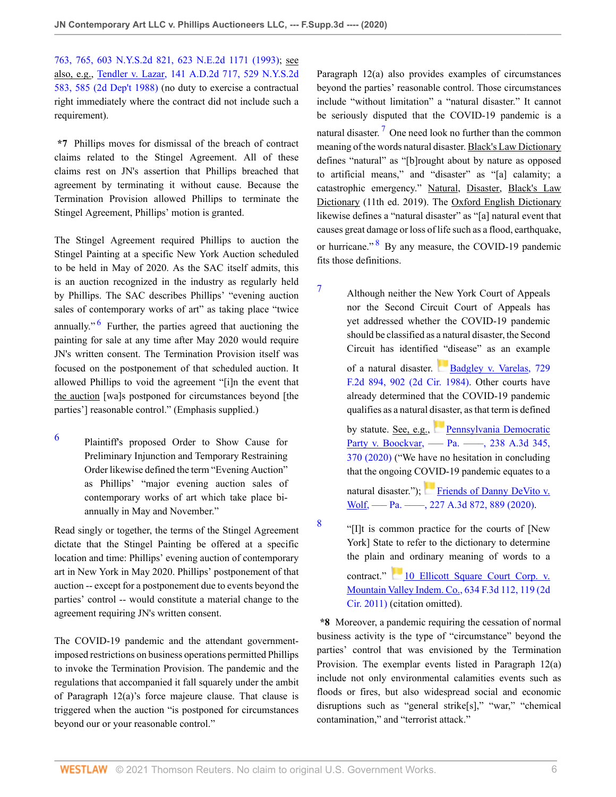[763, 765, 603 N.Y.S.2d 821, 623 N.E.2d 1171 \(1993\);](http://www.westlaw.com/Link/Document/FullText?findType=Y&serNum=1993193291&pubNum=0000605&originatingDoc=I9969e490411311eb960a9329eed1cde2&refType=RP&fi=co_pp_sp_605_765&originationContext=document&vr=3.0&rs=cblt1.0&transitionType=DocumentItem&contextData=(sc.Default)#co_pp_sp_605_765) see also, e.g., [Tendler v. Lazar, 141 A.D.2d 717, 529 N.Y.S.2d](http://www.westlaw.com/Link/Document/FullText?findType=Y&serNum=1988083329&pubNum=0000602&originatingDoc=I9969e490411311eb960a9329eed1cde2&refType=RP&fi=co_pp_sp_602_585&originationContext=document&vr=3.0&rs=cblt1.0&transitionType=DocumentItem&contextData=(sc.Default)#co_pp_sp_602_585) [583, 585 \(2d Dep't 1988\)](http://www.westlaw.com/Link/Document/FullText?findType=Y&serNum=1988083329&pubNum=0000602&originatingDoc=I9969e490411311eb960a9329eed1cde2&refType=RP&fi=co_pp_sp_602_585&originationContext=document&vr=3.0&rs=cblt1.0&transitionType=DocumentItem&contextData=(sc.Default)#co_pp_sp_602_585) (no duty to exercise a contractual right immediately where the contract did not include such a requirement).

**\*7** Phillips moves for dismissal of the breach of contract claims related to the Stingel Agreement. All of these claims rest on JN's assertion that Phillips breached that agreement by terminating it without cause. Because the Termination Provision allowed Phillips to terminate the Stingel Agreement, Phillips' motion is granted.

<span id="page-5-1"></span>The Stingel Agreement required Phillips to auction the Stingel Painting at a specific New York Auction scheduled to be held in May of 2020. As the SAC itself admits, this is an auction recognized in the industry as regularly held by Phillips. The SAC describes Phillips' "evening auction sales of contemporary works of art" as taking place "twice annually."<sup>[6](#page-5-0)</sup> Further, the parties agreed that auctioning the painting for sale at any time after May 2020 would require JN's written consent. The Termination Provision itself was focused on the postponement of that scheduled auction. It allowed Phillips to void the agreement "[i]n the event that the auction [wa]s postponed for circumstances beyond [the parties'] reasonable control." (Emphasis supplied.)

<span id="page-5-0"></span>[6](#page-5-1) Plaintiff's proposed Order to Show Cause for Preliminary Injunction and Temporary Restraining Order likewise defined the term "Evening Auction" as Phillips' "major evening auction sales of contemporary works of art which take place biannually in May and November."

Read singly or together, the terms of the Stingel Agreement dictate that the Stingel Painting be offered at a specific location and time: Phillips' evening auction of contemporary art in New York in May 2020. Phillips' postponement of that auction -- except for a postponement due to events beyond the parties' control -- would constitute a material change to the agreement requiring JN's written consent.

The COVID-19 pandemic and the attendant governmentimposed restrictions on business operations permitted Phillips to invoke the Termination Provision. The pandemic and the regulations that accompanied it fall squarely under the ambit of Paragraph 12(a)'s force majeure clause. That clause is triggered when the auction "is postponed for circumstances beyond our or your reasonable control."

<span id="page-5-4"></span>Paragraph 12(a) also provides examples of circumstances beyond the parties' reasonable control. Those circumstances include "without limitation" a "natural disaster." It cannot be seriously disputed that the COVID-19 pandemic is a natural disaster.<sup>[7](#page-5-2)</sup> One need look no further than the common meaning of the words natural disaster. Black's Law Dictionary defines "natural" as "[b]rought about by nature as opposed to artificial means," and "disaster" as "[a] calamity; a catastrophic emergency." Natural, Disaster, Black's Law Dictionary (11th ed. 2019). The Oxford English Dictionary likewise defines a "natural disaster" as "[a] natural event that causes great damage or loss of life such as a flood, earthquake, or hurricane."<sup>[8](#page-5-3)</sup> By any measure, the COVID-19 pandemic fits those definitions.

<span id="page-5-5"></span><span id="page-5-2"></span>[7](#page-5-4) Although neither the New York Court of Appeals nor the Second Circuit Court of Appeals has yet addressed whether the COVID-19 pandemic should be classified as a natural disaster, the Second Circuit has identified "disease" as an example of a natural disaster. [Badgley v. Varelas, 729](http://www.westlaw.com/Link/Document/FullText?findType=Y&serNum=1984111359&pubNum=0000350&originatingDoc=I9969e490411311eb960a9329eed1cde2&refType=RP&fi=co_pp_sp_350_902&originationContext=document&vr=3.0&rs=cblt1.0&transitionType=DocumentItem&contextData=(sc.Default)#co_pp_sp_350_902)

[F.2d 894, 902 \(2d Cir. 1984\)](http://www.westlaw.com/Link/Document/FullText?findType=Y&serNum=1984111359&pubNum=0000350&originatingDoc=I9969e490411311eb960a9329eed1cde2&refType=RP&fi=co_pp_sp_350_902&originationContext=document&vr=3.0&rs=cblt1.0&transitionType=DocumentItem&contextData=(sc.Default)#co_pp_sp_350_902). Other courts have already determined that the COVID-19 pandemic qualifies as a natural disaster, as that term is defined

by statute. See, e.g., [Pennsylvania Democratic](http://www.westlaw.com/Link/Document/FullText?findType=Y&serNum=2051875383&pubNum=0007691&originatingDoc=I9969e490411311eb960a9329eed1cde2&refType=RP&fi=co_pp_sp_7691_370&originationContext=document&vr=3.0&rs=cblt1.0&transitionType=DocumentItem&contextData=(sc.Default)#co_pp_sp_7691_370) Party v. Boockvar, — Pa. — , 238 A.3d 345, [370 \(2020\)](http://www.westlaw.com/Link/Document/FullText?findType=Y&serNum=2051875383&pubNum=0007691&originatingDoc=I9969e490411311eb960a9329eed1cde2&refType=RP&fi=co_pp_sp_7691_370&originationContext=document&vr=3.0&rs=cblt1.0&transitionType=DocumentItem&contextData=(sc.Default)#co_pp_sp_7691_370) ("We have no hesitation in concluding that the ongoing COVID-19 pandemic equates to a

natural disaster."); [Friends of Danny DeVito v.](http://www.westlaw.com/Link/Document/FullText?findType=Y&serNum=2050757396&pubNum=0007691&originatingDoc=I9969e490411311eb960a9329eed1cde2&refType=RP&fi=co_pp_sp_7691_889&originationContext=document&vr=3.0&rs=cblt1.0&transitionType=DocumentItem&contextData=(sc.Default)#co_pp_sp_7691_889) Wolf, —– Pa. —–, 227 A.3d 872, 889 (2020).

<span id="page-5-3"></span>[8](#page-5-5)

"[I]t is common practice for the courts of [New York] State to refer to the dictionary to determine the plain and ordinary meaning of words to a

contract." [10 Ellicott Square Court Corp. v.](http://www.westlaw.com/Link/Document/FullText?findType=Y&serNum=2024496866&pubNum=0000506&originatingDoc=I9969e490411311eb960a9329eed1cde2&refType=RP&fi=co_pp_sp_506_119&originationContext=document&vr=3.0&rs=cblt1.0&transitionType=DocumentItem&contextData=(sc.Default)#co_pp_sp_506_119) [Mountain Valley Indem. Co., 634 F.3d 112, 119 \(2d](http://www.westlaw.com/Link/Document/FullText?findType=Y&serNum=2024496866&pubNum=0000506&originatingDoc=I9969e490411311eb960a9329eed1cde2&refType=RP&fi=co_pp_sp_506_119&originationContext=document&vr=3.0&rs=cblt1.0&transitionType=DocumentItem&contextData=(sc.Default)#co_pp_sp_506_119) [Cir. 2011\)](http://www.westlaw.com/Link/Document/FullText?findType=Y&serNum=2024496866&pubNum=0000506&originatingDoc=I9969e490411311eb960a9329eed1cde2&refType=RP&fi=co_pp_sp_506_119&originationContext=document&vr=3.0&rs=cblt1.0&transitionType=DocumentItem&contextData=(sc.Default)#co_pp_sp_506_119) (citation omitted).

**\*8** Moreover, a pandemic requiring the cessation of normal business activity is the type of "circumstance" beyond the parties' control that was envisioned by the Termination Provision. The exemplar events listed in Paragraph 12(a) include not only environmental calamities events such as floods or fires, but also widespread social and economic disruptions such as "general strike[s]," "war," "chemical contamination," and "terrorist attack."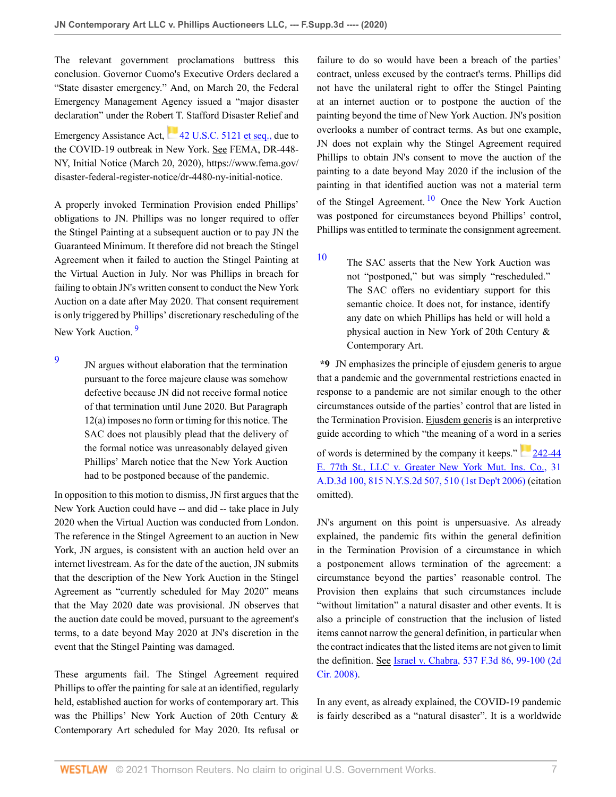The relevant government proclamations buttress this conclusion. Governor Cuomo's Executive Orders declared a "State disaster emergency." And, on March 20, the Federal Emergency Management Agency issued a "major disaster declaration" under the Robert T. Stafford Disaster Relief and EmergencyAssistance Act, [42 U.S.C. 5121 et seq.,](http://www.westlaw.com/Link/Document/FullText?findType=L&pubNum=1000546&cite=42USCAS5121&originatingDoc=I9969e490411311eb960a9329eed1cde2&refType=LQ&originationContext=document&vr=3.0&rs=cblt1.0&transitionType=DocumentItem&contextData=(sc.Default)) due to the COVID-19 outbreak in New York. See FEMA, DR-448- NY, Initial Notice (March 20, 2020), https://www.fema.gov/ disaster-federal-register-notice/dr-4480-ny-initial-notice.

A properly invoked Termination Provision ended Phillips' obligations to JN. Phillips was no longer required to offer the Stingel Painting at a subsequent auction or to pay JN the Guaranteed Minimum. It therefore did not breach the Stingel Agreement when it failed to auction the Stingel Painting at the Virtual Auction in July. Nor was Phillips in breach for failing to obtain JN's written consent to conduct the New York Auction on a date after May 2020. That consent requirement is only triggered by Phillips' discretionary rescheduling of the New York Auction.<sup>[9](#page-6-0)</sup>

<span id="page-6-1"></span><span id="page-6-0"></span>[9](#page-6-1) JN argues without elaboration that the termination pursuant to the force majeure clause was somehow defective because JN did not receive formal notice of that termination until June 2020. But Paragraph 12(a) imposes no form or timing for this notice. The SAC does not plausibly plead that the delivery of the formal notice was unreasonably delayed given Phillips' March notice that the New York Auction had to be postponed because of the pandemic.

In opposition to this motion to dismiss, JN first argues that the New York Auction could have -- and did -- take place in July 2020 when the Virtual Auction was conducted from London. The reference in the Stingel Agreement to an auction in New York, JN argues, is consistent with an auction held over an internet livestream. As for the date of the auction, JN submits that the description of the New York Auction in the Stingel Agreement as "currently scheduled for May 2020" means that the May 2020 date was provisional. JN observes that the auction date could be moved, pursuant to the agreement's terms, to a date beyond May 2020 at JN's discretion in the event that the Stingel Painting was damaged.

These arguments fail. The Stingel Agreement required Phillips to offer the painting for sale at an identified, regularly held, established auction for works of contemporary art. This was the Phillips' New York Auction of 20th Century & Contemporary Art scheduled for May 2020. Its refusal or

failure to do so would have been a breach of the parties' contract, unless excused by the contract's terms. Phillips did not have the unilateral right to offer the Stingel Painting at an internet auction or to postpone the auction of the painting beyond the time of New York Auction. JN's position overlooks a number of contract terms. As but one example, JN does not explain why the Stingel Agreement required Phillips to obtain JN's consent to move the auction of the painting to a date beyond May 2020 if the inclusion of the painting in that identified auction was not a material term of the Stingel Agreement.  $\frac{10}{10}$  $\frac{10}{10}$  $\frac{10}{10}$  Once the New York Auction was postponed for circumstances beyond Phillips' control, Phillips was entitled to terminate the consignment agreement.

<span id="page-6-3"></span><span id="page-6-2"></span>[10](#page-6-3) The SAC asserts that the New York Auction was not "postponed," but was simply "rescheduled." The SAC offers no evidentiary support for this semantic choice. It does not, for instance, identify any date on which Phillips has held or will hold a physical auction in New York of 20th Century & Contemporary Art.

**\*9** JN emphasizes the principle of ejusdem generis to argue that a pandemic and the governmental restrictions enacted in response to a pandemic are not similar enough to the other circumstances outside of the parties' control that are listed in the Termination Provision. Ejusdem generis is an interpretive guide according to which "the meaning of a word in a series

of words is determined by the company it keeps." [242-44](http://www.westlaw.com/Link/Document/FullText?findType=Y&serNum=2009214010&pubNum=0000602&originatingDoc=I9969e490411311eb960a9329eed1cde2&refType=RP&fi=co_pp_sp_602_510&originationContext=document&vr=3.0&rs=cblt1.0&transitionType=DocumentItem&contextData=(sc.Default)#co_pp_sp_602_510) [E. 77th St., LLC v. Greater New York Mut. Ins. Co., 31](http://www.westlaw.com/Link/Document/FullText?findType=Y&serNum=2009214010&pubNum=0000602&originatingDoc=I9969e490411311eb960a9329eed1cde2&refType=RP&fi=co_pp_sp_602_510&originationContext=document&vr=3.0&rs=cblt1.0&transitionType=DocumentItem&contextData=(sc.Default)#co_pp_sp_602_510) [A.D.3d 100, 815 N.Y.S.2d 507, 510 \(1st Dep't 2006\)](http://www.westlaw.com/Link/Document/FullText?findType=Y&serNum=2009214010&pubNum=0000602&originatingDoc=I9969e490411311eb960a9329eed1cde2&refType=RP&fi=co_pp_sp_602_510&originationContext=document&vr=3.0&rs=cblt1.0&transitionType=DocumentItem&contextData=(sc.Default)#co_pp_sp_602_510) (citation omitted).

JN's argument on this point is unpersuasive. As already explained, the pandemic fits within the general definition in the Termination Provision of a circumstance in which a postponement allows termination of the agreement: a circumstance beyond the parties' reasonable control. The Provision then explains that such circumstances include "without limitation" a natural disaster and other events. It is also a principle of construction that the inclusion of listed items cannot narrow the general definition, in particular when the contract indicates that the listed items are not given to limit the definition. See [Israel v. Chabra, 537 F.3d 86, 99-100 \(2d](http://www.westlaw.com/Link/Document/FullText?findType=Y&serNum=2016684566&pubNum=0000506&originatingDoc=I9969e490411311eb960a9329eed1cde2&refType=RP&fi=co_pp_sp_506_99&originationContext=document&vr=3.0&rs=cblt1.0&transitionType=DocumentItem&contextData=(sc.Default)#co_pp_sp_506_99) [Cir. 2008\).](http://www.westlaw.com/Link/Document/FullText?findType=Y&serNum=2016684566&pubNum=0000506&originatingDoc=I9969e490411311eb960a9329eed1cde2&refType=RP&fi=co_pp_sp_506_99&originationContext=document&vr=3.0&rs=cblt1.0&transitionType=DocumentItem&contextData=(sc.Default)#co_pp_sp_506_99)

In any event, as already explained, the COVID-19 pandemic is fairly described as a "natural disaster". It is a worldwide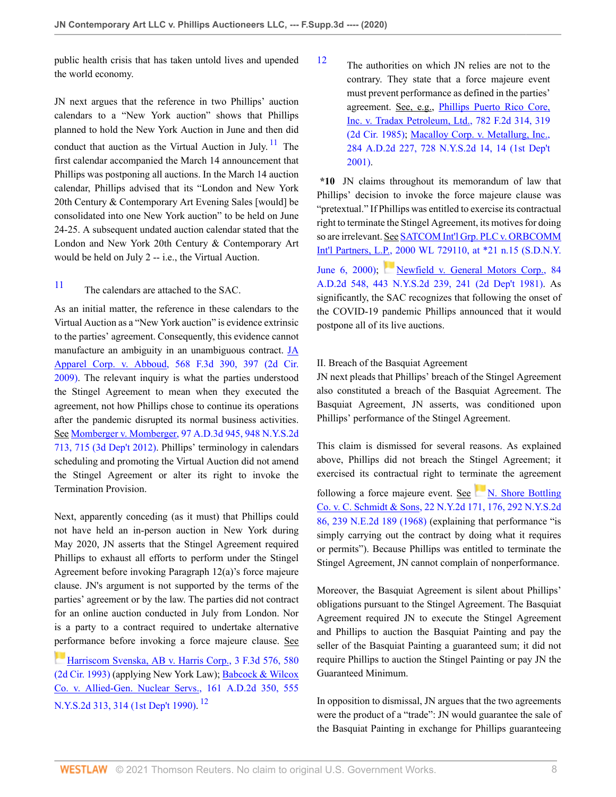public health crisis that has taken untold lives and upended the world economy.

JN next argues that the reference in two Phillips' auction calendars to a "New York auction" shows that Phillips planned to hold the New York Auction in June and then did conduct that auction as the Virtual Auction in July.  $11$  The first calendar accompanied the March 14 announcement that Phillips was postponing all auctions. In the March 14 auction calendar, Phillips advised that its "London and New York 20th Century & Contemporary Art Evening Sales [would] be consolidated into one New York auction" to be held on June 24-25. A subsequent undated auction calendar stated that the London and New York 20th Century & Contemporary Art would be held on July 2 -- i.e., the Virtual Auction.

<span id="page-7-0"></span>[11](#page-7-1) The calendars are attached to the SAC.

As an initial matter, the reference in these calendars to the Virtual Auction as a "New York auction" is evidence extrinsic to the parties' agreement. Consequently, this evidence cannot manufacture an ambiguity in an unambiguous contract. [JA](http://www.westlaw.com/Link/Document/FullText?findType=Y&serNum=2019081996&pubNum=0000506&originatingDoc=I9969e490411311eb960a9329eed1cde2&refType=RP&fi=co_pp_sp_506_397&originationContext=document&vr=3.0&rs=cblt1.0&transitionType=DocumentItem&contextData=(sc.Default)#co_pp_sp_506_397) [Apparel Corp. v. Abboud, 568 F.3d 390, 397 \(2d Cir.](http://www.westlaw.com/Link/Document/FullText?findType=Y&serNum=2019081996&pubNum=0000506&originatingDoc=I9969e490411311eb960a9329eed1cde2&refType=RP&fi=co_pp_sp_506_397&originationContext=document&vr=3.0&rs=cblt1.0&transitionType=DocumentItem&contextData=(sc.Default)#co_pp_sp_506_397) [2009\)](http://www.westlaw.com/Link/Document/FullText?findType=Y&serNum=2019081996&pubNum=0000506&originatingDoc=I9969e490411311eb960a9329eed1cde2&refType=RP&fi=co_pp_sp_506_397&originationContext=document&vr=3.0&rs=cblt1.0&transitionType=DocumentItem&contextData=(sc.Default)#co_pp_sp_506_397). The relevant inquiry is what the parties understood the Stingel Agreement to mean when they executed the agreement, not how Phillips chose to continue its operations after the pandemic disrupted its normal business activities. See [Momberger v. Momberger, 97 A.D.3d 945, 948 N.Y.S.2d](http://www.westlaw.com/Link/Document/FullText?findType=Y&serNum=2028183288&pubNum=0000602&originatingDoc=I9969e490411311eb960a9329eed1cde2&refType=RP&fi=co_pp_sp_602_715&originationContext=document&vr=3.0&rs=cblt1.0&transitionType=DocumentItem&contextData=(sc.Default)#co_pp_sp_602_715) [713, 715 \(3d Dep't 2012\)](http://www.westlaw.com/Link/Document/FullText?findType=Y&serNum=2028183288&pubNum=0000602&originatingDoc=I9969e490411311eb960a9329eed1cde2&refType=RP&fi=co_pp_sp_602_715&originationContext=document&vr=3.0&rs=cblt1.0&transitionType=DocumentItem&contextData=(sc.Default)#co_pp_sp_602_715). Phillips' terminology in calendars scheduling and promoting the Virtual Auction did not amend the Stingel Agreement or alter its right to invoke the Termination Provision.

Next, apparently conceding (as it must) that Phillips could not have held an in-person auction in New York during May 2020, JN asserts that the Stingel Agreement required Phillips to exhaust all efforts to perform under the Stingel Agreement before invoking Paragraph 12(a)'s force majeure clause. JN's argument is not supported by the terms of the parties' agreement or by the law. The parties did not contract for an online auction conducted in July from London. Nor is a party to a contract required to undertake alternative [perf](https://1.next.westlaw.com/Link/RelatedInformation/Flag?documentGuid=Id7b71d4196fb11d9bdd1cfdd544ca3a4&transitionType=InlineKeyCiteFlags&originationContext=docHeaderFlag&Rank=0&contextData=(sc.Default) )ormance before invoking a force majeure clause. See

[Harriscom Svenska, AB v. Harris Corp., 3 F.3d 576, 580](http://www.westlaw.com/Link/Document/FullText?findType=Y&serNum=1993168546&pubNum=0000506&originatingDoc=I9969e490411311eb960a9329eed1cde2&refType=RP&fi=co_pp_sp_506_580&originationContext=document&vr=3.0&rs=cblt1.0&transitionType=DocumentItem&contextData=(sc.Default)#co_pp_sp_506_580) [\(2d Cir. 1993\)](http://www.westlaw.com/Link/Document/FullText?findType=Y&serNum=1993168546&pubNum=0000506&originatingDoc=I9969e490411311eb960a9329eed1cde2&refType=RP&fi=co_pp_sp_506_580&originationContext=document&vr=3.0&rs=cblt1.0&transitionType=DocumentItem&contextData=(sc.Default)#co_pp_sp_506_580) (applying New York Law); [Babcock & Wilcox](http://www.westlaw.com/Link/Document/FullText?findType=Y&serNum=1990077660&pubNum=0000602&originatingDoc=I9969e490411311eb960a9329eed1cde2&refType=RP&fi=co_pp_sp_602_314&originationContext=document&vr=3.0&rs=cblt1.0&transitionType=DocumentItem&contextData=(sc.Default)#co_pp_sp_602_314) [Co. v. Allied-Gen. Nuclear Servs., 161 A.D.2d 350, 555](http://www.westlaw.com/Link/Document/FullText?findType=Y&serNum=1990077660&pubNum=0000602&originatingDoc=I9969e490411311eb960a9329eed1cde2&refType=RP&fi=co_pp_sp_602_314&originationContext=document&vr=3.0&rs=cblt1.0&transitionType=DocumentItem&contextData=(sc.Default)#co_pp_sp_602_314) [N.Y.S.2d 313, 314 \(1st Dep't 1990\).](http://www.westlaw.com/Link/Document/FullText?findType=Y&serNum=1990077660&pubNum=0000602&originatingDoc=I9969e490411311eb960a9329eed1cde2&refType=RP&fi=co_pp_sp_602_314&originationContext=document&vr=3.0&rs=cblt1.0&transitionType=DocumentItem&contextData=(sc.Default)#co_pp_sp_602_314) <sup>[12](#page-7-2)</sup>

<span id="page-7-2"></span>[12](#page-7-3) The authorities on which JN relies are not to the contrary. They state that a force majeure event must prevent performance as defined in the parties' agreement. See, e.g., [Phillips Puerto Rico Core,](http://www.westlaw.com/Link/Document/FullText?findType=Y&serNum=1986104867&pubNum=0000350&originatingDoc=I9969e490411311eb960a9329eed1cde2&refType=RP&fi=co_pp_sp_350_319&originationContext=document&vr=3.0&rs=cblt1.0&transitionType=DocumentItem&contextData=(sc.Default)#co_pp_sp_350_319) [Inc. v. Tradax Petroleum, Ltd., 782 F.2d 314, 319](http://www.westlaw.com/Link/Document/FullText?findType=Y&serNum=1986104867&pubNum=0000350&originatingDoc=I9969e490411311eb960a9329eed1cde2&refType=RP&fi=co_pp_sp_350_319&originationContext=document&vr=3.0&rs=cblt1.0&transitionType=DocumentItem&contextData=(sc.Default)#co_pp_sp_350_319) [\(2d Cir. 1985\)](http://www.westlaw.com/Link/Document/FullText?findType=Y&serNum=1986104867&pubNum=0000350&originatingDoc=I9969e490411311eb960a9329eed1cde2&refType=RP&fi=co_pp_sp_350_319&originationContext=document&vr=3.0&rs=cblt1.0&transitionType=DocumentItem&contextData=(sc.Default)#co_pp_sp_350_319); [Macalloy Corp. v. Metallurg, Inc.,](http://www.westlaw.com/Link/Document/FullText?findType=Y&serNum=2001534724&pubNum=0000602&originatingDoc=I9969e490411311eb960a9329eed1cde2&refType=RP&originationContext=document&vr=3.0&rs=cblt1.0&transitionType=DocumentItem&contextData=(sc.Default)) [284 A.D.2d 227, 728 N.Y.S.2d 14, 14 \(1st Dep't](http://www.westlaw.com/Link/Document/FullText?findType=Y&serNum=2001534724&pubNum=0000602&originatingDoc=I9969e490411311eb960a9329eed1cde2&refType=RP&originationContext=document&vr=3.0&rs=cblt1.0&transitionType=DocumentItem&contextData=(sc.Default)) [2001\)](http://www.westlaw.com/Link/Document/FullText?findType=Y&serNum=2001534724&pubNum=0000602&originatingDoc=I9969e490411311eb960a9329eed1cde2&refType=RP&originationContext=document&vr=3.0&rs=cblt1.0&transitionType=DocumentItem&contextData=(sc.Default)).

<span id="page-7-1"></span>**\*10** JN claims throughout its memorandum of law that Phillips' decision to invoke the force majeure clause was "pretextual." If Phillips was entitled to exercise its contractual right to terminate the Stingel Agreement, its motives for doing so are irrelevant. See [SATCOM Int'l Grp. PLC v. ORBCOMM](http://www.westlaw.com/Link/Document/FullText?findType=Y&serNum=2000376257&pubNum=0000999&originatingDoc=I9969e490411311eb960a9329eed1cde2&refType=RP&originationContext=document&vr=3.0&rs=cblt1.0&transitionType=DocumentItem&contextData=(sc.Default)) [Int'l Partners, L.P., 2000 WL 729110, at \\*21 n.15 \(S.D.N.Y.](http://www.westlaw.com/Link/Document/FullText?findType=Y&serNum=2000376257&pubNum=0000999&originatingDoc=I9969e490411311eb960a9329eed1cde2&refType=RP&originationContext=document&vr=3.0&rs=cblt1.0&transitionType=DocumentItem&contextData=(sc.Default)) [June 6, 2000\);](http://www.westlaw.com/Link/Document/FullText?findType=Y&serNum=2000376257&pubNum=0000999&originatingDoc=I9969e490411311eb960a9329eed1cde2&refType=RP&originationContext=document&vr=3.0&rs=cblt1.0&transitionType=DocumentItem&contextData=(sc.Default)) [Newfield v. General Motors Corp., 84](http://www.westlaw.com/Link/Document/FullText?findType=Y&serNum=1981143654&pubNum=0000602&originatingDoc=I9969e490411311eb960a9329eed1cde2&refType=RP&fi=co_pp_sp_602_241&originationContext=document&vr=3.0&rs=cblt1.0&transitionType=DocumentItem&contextData=(sc.Default)#co_pp_sp_602_241)

[A.D.2d 548, 443 N.Y.S.2d 239, 241 \(2d Dep't 1981\).](http://www.westlaw.com/Link/Document/FullText?findType=Y&serNum=1981143654&pubNum=0000602&originatingDoc=I9969e490411311eb960a9329eed1cde2&refType=RP&fi=co_pp_sp_602_241&originationContext=document&vr=3.0&rs=cblt1.0&transitionType=DocumentItem&contextData=(sc.Default)#co_pp_sp_602_241) As significantly, the SAC recognizes that following the onset of the COVID-19 pandemic Phillips announced that it would postpone all of its live auctions.

# II. Breach of the Basquiat Agreement

JN next pleads that Phillips' breach of the Stingel Agreement also constituted a breach of the Basquiat Agreement. The Basquiat Agreement, JN asserts, was conditioned upon Phillips' performance of the Stingel Agreement.

This claim is dismissed for several reasons. As explained above, Phillips did not breach the Stingel Agreement; it exercised its contractual right to ter[mina](https://1.next.westlaw.com/Link/RelatedInformation/Flag?documentGuid=I69cd0341d81011d9a489ee624f1f6e1a&transitionType=InlineKeyCiteFlags&originationContext=docHeaderFlag&Rank=0&contextData=(sc.Default) )te the agreement following a force majeure event. See  $N$ . Shore Bottling [Co. v. C. Schmidt & Sons, 22 N.Y.2d 171, 176, 292 N.Y.S.2d](http://www.westlaw.com/Link/Document/FullText?findType=Y&serNum=1968126526&pubNum=0000605&originatingDoc=I9969e490411311eb960a9329eed1cde2&refType=RP&fi=co_pp_sp_605_176&originationContext=document&vr=3.0&rs=cblt1.0&transitionType=DocumentItem&contextData=(sc.Default)#co_pp_sp_605_176) [86, 239 N.E.2d 189 \(1968\)](http://www.westlaw.com/Link/Document/FullText?findType=Y&serNum=1968126526&pubNum=0000605&originatingDoc=I9969e490411311eb960a9329eed1cde2&refType=RP&fi=co_pp_sp_605_176&originationContext=document&vr=3.0&rs=cblt1.0&transitionType=DocumentItem&contextData=(sc.Default)#co_pp_sp_605_176) (explaining that performance "is simply carrying out the contract by doing what it requires or permits"). Because Phillips was entitled to terminate the Stingel Agreement, JN cannot complain of nonperformance.

Moreover, the Basquiat Agreement is silent about Phillips' obligations pursuant to the Stingel Agreement. The Basquiat Agreement required JN to execute the Stingel Agreement and Phillips to auction the Basquiat Painting and pay the seller of the Basquiat Painting a guaranteed sum; it did not require Phillips to auction the Stingel Painting or pay JN the Guaranteed Minimum.

<span id="page-7-3"></span>In opposition to dismissal, JN argues that the two agreements were the product of a "trade": JN would guarantee the sale of the Basquiat Painting in exchange for Phillips guaranteeing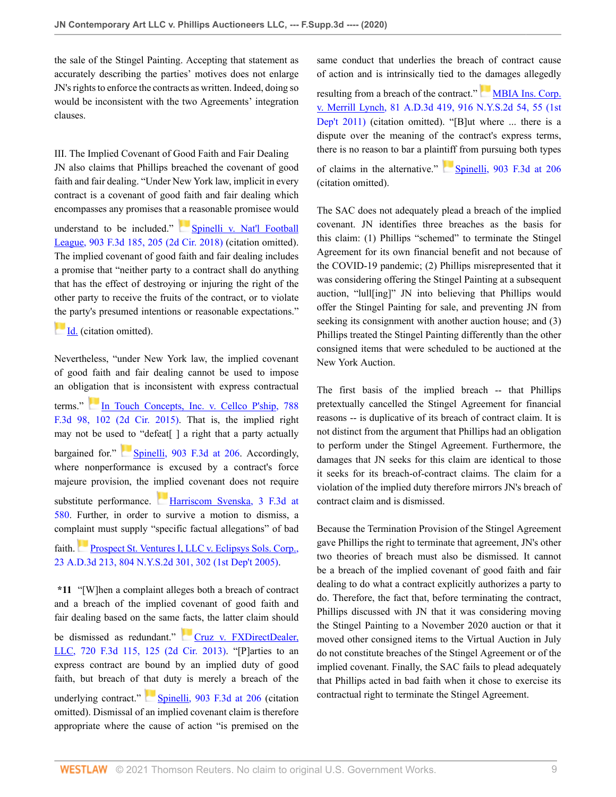the sale of the Stingel Painting. Accepting that statement as accurately describing the parties' motives does not enlarge JN's rights to enforce the contracts as written. Indeed, doing so would be inconsistent with the two Agreements' integration clauses.

III. The Implied Covenant of Good Faith and Fair Dealing JN also claims that Phillips breached the covenant of good faith and fair dealing. "Under New York law, implicit in every contract is a covenant of good faith and fair dealing which encompasses any promises that a reasonable promisee would understand to be included." [Spinelli v. Nat'l Football](http://www.westlaw.com/Link/Document/FullText?findType=Y&serNum=2045472570&pubNum=0000506&originatingDoc=I9969e490411311eb960a9329eed1cde2&refType=RP&fi=co_pp_sp_506_205&originationContext=document&vr=3.0&rs=cblt1.0&transitionType=DocumentItem&contextData=(sc.Default)#co_pp_sp_506_205) [League, 903 F.3d 185, 205 \(2d Cir. 2018\)](http://www.westlaw.com/Link/Document/FullText?findType=Y&serNum=2045472570&pubNum=0000506&originatingDoc=I9969e490411311eb960a9329eed1cde2&refType=RP&fi=co_pp_sp_506_205&originationContext=document&vr=3.0&rs=cblt1.0&transitionType=DocumentItem&contextData=(sc.Default)#co_pp_sp_506_205) (citation omitted). The implied covenant of good faith and fair dealing includes a promise that "neither party to a contract shall do anything that has the effect of destroying or injuring the right of the other party to receive the fruits of the contract, or to violate [the](https://1.next.westlaw.com/Link/RelatedInformation/Flag?documentGuid=I07696070b5d811e88037ff68a1223ab1&transitionType=InlineKeyCiteFlags&originationContext=docHeaderFlag&Rank=0&contextData=(sc.Default) ) party's presumed intentions or reasonable expectations."

**Id.** (citation omitted).

Nevertheless, "under New York law, the implied covenant of good faith and fair dealing cannot be used to impose an obligation that is inconsistent with express contractual terms." [In Touch Concepts, Inc. v. Cellco P'ship, 788](http://www.westlaw.com/Link/Document/FullText?findType=Y&serNum=2036397333&pubNum=0000506&originatingDoc=I9969e490411311eb960a9329eed1cde2&refType=RP&fi=co_pp_sp_506_102&originationContext=document&vr=3.0&rs=cblt1.0&transitionType=DocumentItem&contextData=(sc.Default)#co_pp_sp_506_102) [F.3d 98, 102 \(2d Cir. 2015\).](http://www.westlaw.com/Link/Document/FullText?findType=Y&serNum=2036397333&pubNum=0000506&originatingDoc=I9969e490411311eb960a9329eed1cde2&refType=RP&fi=co_pp_sp_506_102&originationContext=document&vr=3.0&rs=cblt1.0&transitionType=DocumentItem&contextData=(sc.Default)#co_pp_sp_506_102) That is, the implied right may not be used to "defeat[ ] a right that a party actually bargained for." [Spinelli, 903 F.3d at 206](http://www.westlaw.com/Link/Document/FullText?findType=Y&serNum=2045472570&pubNum=0000506&originatingDoc=I9969e490411311eb960a9329eed1cde2&refType=RP&fi=co_pp_sp_506_206&originationContext=document&vr=3.0&rs=cblt1.0&transitionType=DocumentItem&contextData=(sc.Default)#co_pp_sp_506_206). Accordingly, where nonperformance is excused by a contract's force majeure provision, the implied covenant does not require substitute performance. [Harriscom Svenska, 3 F.3d at](http://www.westlaw.com/Link/Document/FullText?findType=Y&serNum=1993168546&pubNum=0000506&originatingDoc=I9969e490411311eb960a9329eed1cde2&refType=RP&fi=co_pp_sp_506_580&originationContext=document&vr=3.0&rs=cblt1.0&transitionType=DocumentItem&contextData=(sc.Default)#co_pp_sp_506_580) [580](http://www.westlaw.com/Link/Document/FullText?findType=Y&serNum=1993168546&pubNum=0000506&originatingDoc=I9969e490411311eb960a9329eed1cde2&refType=RP&fi=co_pp_sp_506_580&originationContext=document&vr=3.0&rs=cblt1.0&transitionType=DocumentItem&contextData=(sc.Default)#co_pp_sp_506_580). Further, in order to survive a motion to dismiss, a complaint must supply "specific factual allegations" of bad faith.[Prospect St. Ventures I, LLC v. Eclipsys Sols. Corp.,](http://www.westlaw.com/Link/Document/FullText?findType=Y&serNum=2007666223&pubNum=0000602&originatingDoc=I9969e490411311eb960a9329eed1cde2&refType=RP&fi=co_pp_sp_602_302&originationContext=document&vr=3.0&rs=cblt1.0&transitionType=DocumentItem&contextData=(sc.Default)#co_pp_sp_602_302) [23 A.D.3d 213, 804 N.Y.S.2d 301, 302 \(1st Dep't 2005\).](http://www.westlaw.com/Link/Document/FullText?findType=Y&serNum=2007666223&pubNum=0000602&originatingDoc=I9969e490411311eb960a9329eed1cde2&refType=RP&fi=co_pp_sp_602_302&originationContext=document&vr=3.0&rs=cblt1.0&transitionType=DocumentItem&contextData=(sc.Default)#co_pp_sp_602_302)

**\*11** "[W]hen a complaint alleges both a breach of contract and a breach of the implied covenant of good faith and fair dealing based on the same facts, the latter claim should be dismissed as redundant." [Cruz v. FXDirectDealer,](http://www.westlaw.com/Link/Document/FullText?findType=Y&serNum=2030812641&pubNum=0000506&originatingDoc=I9969e490411311eb960a9329eed1cde2&refType=RP&fi=co_pp_sp_506_125&originationContext=document&vr=3.0&rs=cblt1.0&transitionType=DocumentItem&contextData=(sc.Default)#co_pp_sp_506_125) [LLC, 720 F.3d 115, 125 \(2d Cir. 2013\).](http://www.westlaw.com/Link/Document/FullText?findType=Y&serNum=2030812641&pubNum=0000506&originatingDoc=I9969e490411311eb960a9329eed1cde2&refType=RP&fi=co_pp_sp_506_125&originationContext=document&vr=3.0&rs=cblt1.0&transitionType=DocumentItem&contextData=(sc.Default)#co_pp_sp_506_125) "[P]arties to an express contract are bound by an implied duty of good faith, but breach of that duty is merely a breach of the

underlying contract." [Spinelli, 903 F.3d at 206](http://www.westlaw.com/Link/Document/FullText?findType=Y&serNum=2045472570&pubNum=0000506&originatingDoc=I9969e490411311eb960a9329eed1cde2&refType=RP&fi=co_pp_sp_506_206&originationContext=document&vr=3.0&rs=cblt1.0&transitionType=DocumentItem&contextData=(sc.Default)#co_pp_sp_506_206) (citation omitted). Dismissal of an implied covenant claim is therefore appropriate where the cause of action "is premised on the same conduct that underlies the breach of contract cause of action and is intrinsically tied to the damages allegedly

resultingfrom a breach of the contract." [MBIA Ins. Corp.](http://www.westlaw.com/Link/Document/FullText?findType=Y&serNum=2024503889&pubNum=0000602&originatingDoc=I9969e490411311eb960a9329eed1cde2&refType=RP&fi=co_pp_sp_602_55&originationContext=document&vr=3.0&rs=cblt1.0&transitionType=DocumentItem&contextData=(sc.Default)#co_pp_sp_602_55) [v. Merrill Lynch, 81 A.D.3d 419, 916 N.Y.S.2d 54, 55 \(1st](http://www.westlaw.com/Link/Document/FullText?findType=Y&serNum=2024503889&pubNum=0000602&originatingDoc=I9969e490411311eb960a9329eed1cde2&refType=RP&fi=co_pp_sp_602_55&originationContext=document&vr=3.0&rs=cblt1.0&transitionType=DocumentItem&contextData=(sc.Default)#co_pp_sp_602_55) [Dep't 2011\)](http://www.westlaw.com/Link/Document/FullText?findType=Y&serNum=2024503889&pubNum=0000602&originatingDoc=I9969e490411311eb960a9329eed1cde2&refType=RP&fi=co_pp_sp_602_55&originationContext=document&vr=3.0&rs=cblt1.0&transitionType=DocumentItem&contextData=(sc.Default)#co_pp_sp_602_55) (citation omitted). "[B]ut where ... there is a dispute over the meaning of the contract's express terms, there is no reason to bar a plaintiff from pursuing both types

of claims in the alternative." [Spinelli, 903 F.3d at 206](http://www.westlaw.com/Link/Document/FullText?findType=Y&serNum=2045472570&pubNum=0000506&originatingDoc=I9969e490411311eb960a9329eed1cde2&refType=RP&fi=co_pp_sp_506_206&originationContext=document&vr=3.0&rs=cblt1.0&transitionType=DocumentItem&contextData=(sc.Default)#co_pp_sp_506_206) (citation omitted).

The SAC does not adequately plead a breach of the implied covenant. JN identifies three breaches as the basis for this claim: (1) Phillips "schemed" to terminate the Stingel Agreement for its own financial benefit and not because of the COVID-19 pandemic; (2) Phillips misrepresented that it was considering offering the Stingel Painting at a subsequent auction, "lull[ing]" JN into believing that Phillips would offer the Stingel Painting for sale, and preventing JN from seeking its consignment with another auction house; and (3) Phillips treated the Stingel Painting differently than the other consigned items that were scheduled to be auctioned at the New York Auction.

The first basis of the implied breach -- that Phillips pretextually cancelled the Stingel Agreement for financial reasons -- is duplicative of its breach of contract claim. It is not distinct from the argument that Phillips had an obligation to perform under the Stingel Agreement. Furthermore, the damages that JN seeks for this claim are identical to those it seeks for its breach-of-contract claims. The claim for a violation of the implied duty therefore mirrors JN's breach of contract claim and is dismissed.

Because the Termination Provision of the Stingel Agreement gave Phillips the right to terminate that agreement, JN's other two theories of breach must also be dismissed. It cannot be a breach of the implied covenant of good faith and fair dealing to do what a contract explicitly authorizes a party to do. Therefore, the fact that, before terminating the contract, Phillips discussed with JN that it was considering moving the Stingel Painting to a November 2020 auction or that it moved other consigned items to the Virtual Auction in July do not constitute breaches of the Stingel Agreement or of the implied covenant. Finally, the SAC fails to plead adequately that Phillips acted in bad faith when it chose to exercise its contractual right to terminate the Stingel Agreement.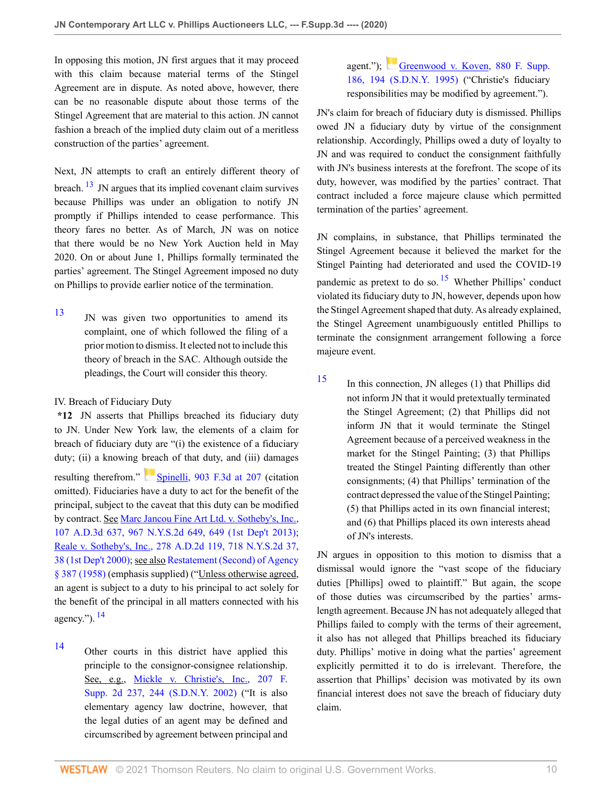In opposing this motion, JN first argues that it may proceed with this claim because material terms of the Stingel Agreement are in dispute. As noted above, however, there can be no reasonable dispute about those terms of the Stingel Agreement that are material to this action. JN cannot fashion a breach of the implied duty claim out of a meritless construction of the parties' agreement.

<span id="page-9-1"></span>Next, JN attempts to craft an entirely different theory of breach.  $\frac{13}{13}$  $\frac{13}{13}$  $\frac{13}{13}$  JN argues that its implied covenant claim survives because Phillips was under an obligation to notify JN promptly if Phillips intended to cease performance. This theory fares no better. As of March, JN was on notice that there would be no New York Auction held in May 2020. On or about June 1, Phillips formally terminated the parties' agreement. The Stingel Agreement imposed no duty on Phillips to provide earlier notice of the termination.

<span id="page-9-0"></span>[13](#page-9-1) JN was given two opportunities to amend its complaint, one of which followed the filing of a prior motion to dismiss. It elected not to include this theory of breach in the SAC. Although outside the pleadings, the Court will consider this theory.

# IV. Breach of Fiduciary Duty

**\*12** JN asserts that Phillips breached its fiduciary duty to JN. Under New York law, the elements of a claim for breach of fiduciary duty are "(i) the existence of a fiduciary duty; (ii) a knowing breach of that duty, and (iii) damages resulting therefrom." [Spinelli, 903 F.3d at 207](http://www.westlaw.com/Link/Document/FullText?findType=Y&serNum=2045472570&pubNum=0000506&originatingDoc=I9969e490411311eb960a9329eed1cde2&refType=RP&fi=co_pp_sp_506_207&originationContext=document&vr=3.0&rs=cblt1.0&transitionType=DocumentItem&contextData=(sc.Default)#co_pp_sp_506_207) (citation omitted). Fiduciaries have a duty to act for the benefit of the principal, subject to the caveat that this duty can be modified by contract. See [Marc Jancou Fine Art Ltd. v. Sotheby's, Inc.,](http://www.westlaw.com/Link/Document/FullText?findType=Y&serNum=2030881617&pubNum=0000602&originatingDoc=I9969e490411311eb960a9329eed1cde2&refType=RP&originationContext=document&vr=3.0&rs=cblt1.0&transitionType=DocumentItem&contextData=(sc.Default)) [107 A.D.3d 637, 967 N.Y.S.2d 649, 649 \(1st Dep't 2013\)](http://www.westlaw.com/Link/Document/FullText?findType=Y&serNum=2030881617&pubNum=0000602&originatingDoc=I9969e490411311eb960a9329eed1cde2&refType=RP&originationContext=document&vr=3.0&rs=cblt1.0&transitionType=DocumentItem&contextData=(sc.Default)); [Reale v. Sotheby's, Inc., 278 A.D.2d 119, 718 N.Y.S.2d 37,](http://www.westlaw.com/Link/Document/FullText?findType=Y&serNum=2000655414&pubNum=0000602&originatingDoc=I9969e490411311eb960a9329eed1cde2&refType=RP&fi=co_pp_sp_602_38&originationContext=document&vr=3.0&rs=cblt1.0&transitionType=DocumentItem&contextData=(sc.Default)#co_pp_sp_602_38) [38 \(1st Dep't 2000\)](http://www.westlaw.com/Link/Document/FullText?findType=Y&serNum=2000655414&pubNum=0000602&originatingDoc=I9969e490411311eb960a9329eed1cde2&refType=RP&fi=co_pp_sp_602_38&originationContext=document&vr=3.0&rs=cblt1.0&transitionType=DocumentItem&contextData=(sc.Default)#co_pp_sp_602_38); see also [Restatement \(Second\) of Agency](http://www.westlaw.com/Link/Document/FullText?findType=Y&serNum=0288873345&pubNum=0101579&originatingDoc=I9969e490411311eb960a9329eed1cde2&refType=TS&originationContext=document&vr=3.0&rs=cblt1.0&transitionType=DocumentItem&contextData=(sc.Default)) [§ 387 \(1958\)](http://www.westlaw.com/Link/Document/FullText?findType=Y&serNum=0288873345&pubNum=0101579&originatingDoc=I9969e490411311eb960a9329eed1cde2&refType=TS&originationContext=document&vr=3.0&rs=cblt1.0&transitionType=DocumentItem&contextData=(sc.Default)) (emphasis supplied) ("Unless otherwise agreed, an agent is subject to a duty to his principal to act solely for the benefit of the principal in all matters connected with his agency.").  $^{14}$  $^{14}$  $^{14}$ 

<span id="page-9-3"></span><span id="page-9-2"></span>

[14](#page-9-3) Other courts in this district have applied this principle to the consignor-consignee relationship. See, e.g., [Mickle v. Christie's, Inc., 207 F.](http://www.westlaw.com/Link/Document/FullText?findType=Y&serNum=2002407190&pubNum=0004637&originatingDoc=I9969e490411311eb960a9329eed1cde2&refType=RP&fi=co_pp_sp_4637_244&originationContext=document&vr=3.0&rs=cblt1.0&transitionType=DocumentItem&contextData=(sc.Default)#co_pp_sp_4637_244) [Supp. 2d 237, 244 \(S.D.N.Y. 2002\)](http://www.westlaw.com/Link/Document/FullText?findType=Y&serNum=2002407190&pubNum=0004637&originatingDoc=I9969e490411311eb960a9329eed1cde2&refType=RP&fi=co_pp_sp_4637_244&originationContext=document&vr=3.0&rs=cblt1.0&transitionType=DocumentItem&contextData=(sc.Default)#co_pp_sp_4637_244) ("It is also elementary agency law doctrine, however, that the legal duties of an agent may be defined and circumscribed by agreement between principal and

# agent."); [Greenwood v. Koven, 880 F. Supp.](http://www.westlaw.com/Link/Document/FullText?findType=Y&serNum=1995072259&pubNum=0000345&originatingDoc=I9969e490411311eb960a9329eed1cde2&refType=RP&fi=co_pp_sp_345_194&originationContext=document&vr=3.0&rs=cblt1.0&transitionType=DocumentItem&contextData=(sc.Default)#co_pp_sp_345_194) [186, 194 \(S.D.N.Y. 1995\)](http://www.westlaw.com/Link/Document/FullText?findType=Y&serNum=1995072259&pubNum=0000345&originatingDoc=I9969e490411311eb960a9329eed1cde2&refType=RP&fi=co_pp_sp_345_194&originationContext=document&vr=3.0&rs=cblt1.0&transitionType=DocumentItem&contextData=(sc.Default)#co_pp_sp_345_194) ("Christie's fiduciary responsibilities may be modified by agreement.").

JN's claim for breach of fiduciary duty is dismissed. Phillips owed JN a fiduciary duty by virtue of the consignment relationship. Accordingly, Phillips owed a duty of loyalty to JN and was required to conduct the consignment faithfully with JN's business interests at the forefront. The scope of its duty, however, was modified by the parties' contract. That contract included a force majeure clause which permitted termination of the parties' agreement.

<span id="page-9-5"></span>JN complains, in substance, that Phillips terminated the Stingel Agreement because it believed the market for the Stingel Painting had deteriorated and used the COVID-19 pandemic as pretext to do so.  $15$  Whether Phillips' conduct violated its fiduciary duty to JN, however, depends upon how the Stingel Agreement shaped that duty. As already explained, the Stingel Agreement unambiguously entitled Phillips to terminate the consignment arrangement following a force majeure event.

<span id="page-9-4"></span>[15](#page-9-5) In this connection, JN alleges (1) that Phillips did not inform JN that it would pretextually terminated the Stingel Agreement; (2) that Phillips did not inform JN that it would terminate the Stingel Agreement because of a perceived weakness in the market for the Stingel Painting; (3) that Phillips treated the Stingel Painting differently than other consignments; (4) that Phillips' termination of the contract depressed the value of the Stingel Painting; (5) that Phillips acted in its own financial interest; and (6) that Phillips placed its own interests ahead of JN's interests.

JN argues in opposition to this motion to dismiss that a dismissal would ignore the "vast scope of the fiduciary duties [Phillips] owed to plaintiff." But again, the scope of those duties was circumscribed by the parties' armslength agreement. Because JN has not adequately alleged that Phillips failed to comply with the terms of their agreement, it also has not alleged that Phillips breached its fiduciary duty. Phillips' motive in doing what the parties' agreement explicitly permitted it to do is irrelevant. Therefore, the assertion that Phillips' decision was motivated by its own financial interest does not save the breach of fiduciary duty claim.